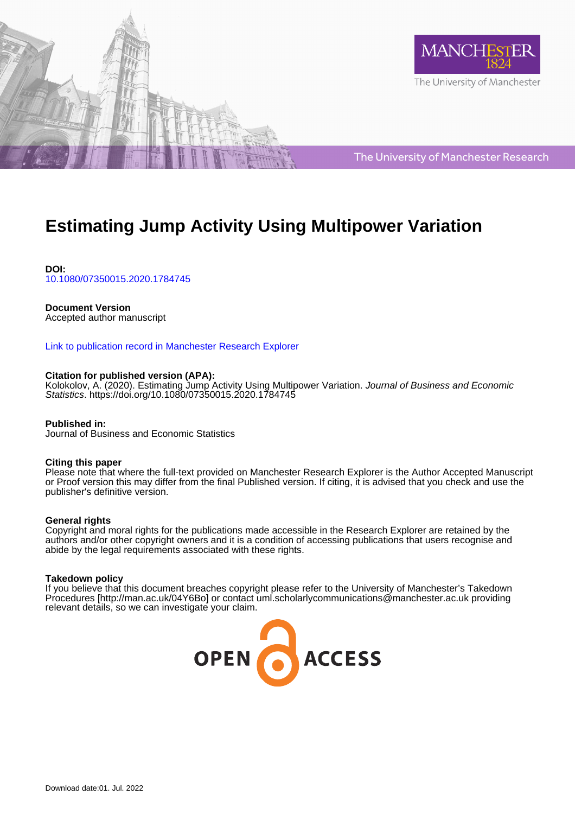



The University of Manchester Research

# **Estimating Jump Activity Using Multipower Variation**

**DOI:** [10.1080/07350015.2020.1784745](https://doi.org/10.1080/07350015.2020.1784745)

### **Document Version**

Accepted author manuscript

### [Link to publication record in Manchester Research Explorer](https://www.research.manchester.ac.uk/portal/en/publications/estimating-jump-activity-using-multipower-variation(bb638ab1-4442-442f-bd2c-d03d74dd7979).html)

#### **Citation for published version (APA):**

[Kolokolov, A.](/portal/aleksey.kolokolov.html) (2020). [Estimating Jump Activity Using Multipower Variation.](https://www.research.manchester.ac.uk/portal/en/publications/estimating-jump-activity-using-multipower-variation(bb638ab1-4442-442f-bd2c-d03d74dd7979).html) Journal of Business and Economic Statistics. <https://doi.org/10.1080/07350015.2020.1784745>

**Published in:** Journal of Business and Economic Statistics

#### **Citing this paper**

Please note that where the full-text provided on Manchester Research Explorer is the Author Accepted Manuscript or Proof version this may differ from the final Published version. If citing, it is advised that you check and use the publisher's definitive version.

#### **General rights**

Copyright and moral rights for the publications made accessible in the Research Explorer are retained by the authors and/or other copyright owners and it is a condition of accessing publications that users recognise and abide by the legal requirements associated with these rights.

#### **Takedown policy**

If you believe that this document breaches copyright please refer to the University of Manchester's Takedown Procedures [http://man.ac.uk/04Y6Bo] or contact uml.scholarlycommunications@manchester.ac.uk providing relevant details, so we can investigate your claim.

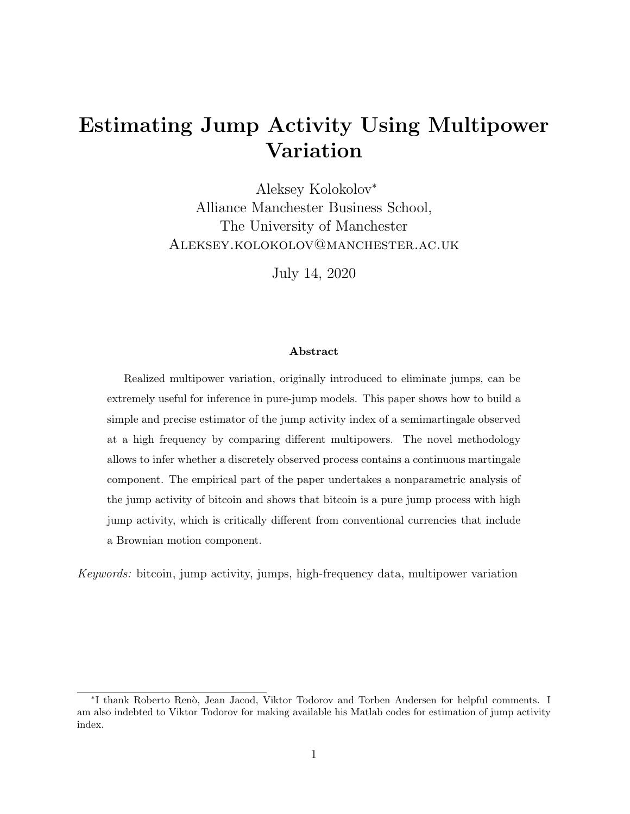# Estimating Jump Activity Using Multipower Variation

Aleksey Kolokolov<sup>∗</sup> Alliance Manchester Business School, The University of Manchester Aleksey.kolokolov@manchester.ac.uk

July 14, 2020

#### Abstract

Realized multipower variation, originally introduced to eliminate jumps, can be extremely useful for inference in pure-jump models. This paper shows how to build a simple and precise estimator of the jump activity index of a semimartingale observed at a high frequency by comparing different multipowers. The novel methodology allows to infer whether a discretely observed process contains a continuous martingale component. The empirical part of the paper undertakes a nonparametric analysis of the jump activity of bitcoin and shows that bitcoin is a pure jump process with high jump activity, which is critically different from conventional currencies that include a Brownian motion component.

Keywords: bitcoin, jump activity, jumps, high-frequency data, multipower variation

<sup>∗</sup> I thank Roberto Ren`o, Jean Jacod, Viktor Todorov and Torben Andersen for helpful comments. I am also indebted to Viktor Todorov for making available his Matlab codes for estimation of jump activity index.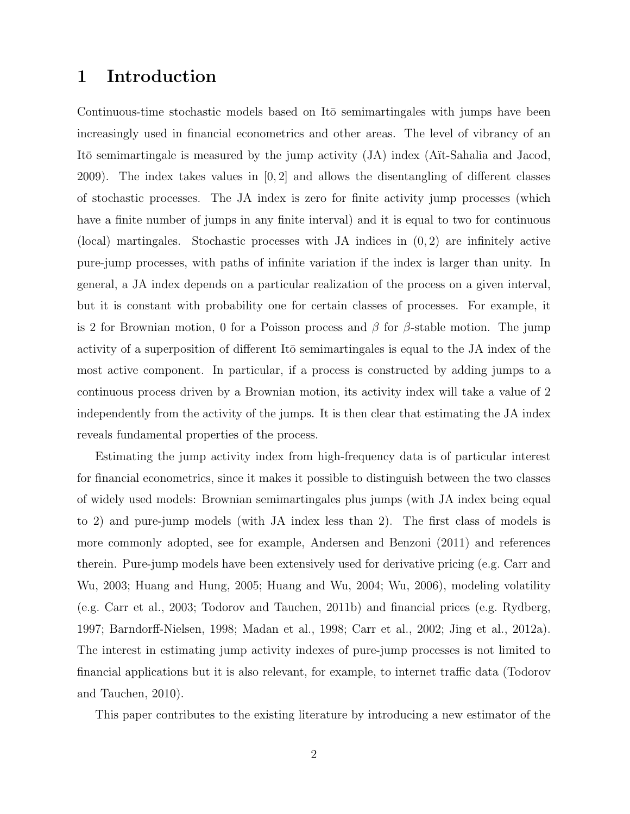## 1 Introduction

Continuous-time stochastic models based on Itō semimartingales with jumps have been increasingly used in financial econometrics and other areas. The level of vibrancy of an Itō semimartingale is measured by the jump activity  $(JA)$  index (A $it$ -Sahalia and Jacod, 2009). The index takes values in [0, 2] and allows the disentangling of different classes of stochastic processes. The JA index is zero for finite activity jump processes (which have a finite number of jumps in any finite interval) and it is equal to two for continuous (local) martingales. Stochastic processes with JA indices in  $(0, 2)$  are infinitely active pure-jump processes, with paths of infinite variation if the index is larger than unity. In general, a JA index depends on a particular realization of the process on a given interval, but it is constant with probability one for certain classes of processes. For example, it is 2 for Brownian motion, 0 for a Poisson process and  $\beta$  for  $\beta$ -stable motion. The jump activity of a superposition of different Itō semimartingales is equal to the JA index of the most active component. In particular, if a process is constructed by adding jumps to a continuous process driven by a Brownian motion, its activity index will take a value of 2 independently from the activity of the jumps. It is then clear that estimating the JA index reveals fundamental properties of the process.

Estimating the jump activity index from high-frequency data is of particular interest for financial econometrics, since it makes it possible to distinguish between the two classes of widely used models: Brownian semimartingales plus jumps (with JA index being equal to 2) and pure-jump models (with JA index less than 2). The first class of models is more commonly adopted, see for example, Andersen and Benzoni (2011) and references therein. Pure-jump models have been extensively used for derivative pricing (e.g. Carr and Wu, 2003; Huang and Hung, 2005; Huang and Wu, 2004; Wu, 2006), modeling volatility (e.g. Carr et al., 2003; Todorov and Tauchen, 2011b) and financial prices (e.g. Rydberg, 1997; Barndorff-Nielsen, 1998; Madan et al., 1998; Carr et al., 2002; Jing et al., 2012a). The interest in estimating jump activity indexes of pure-jump processes is not limited to financial applications but it is also relevant, for example, to internet traffic data (Todorov and Tauchen, 2010).

This paper contributes to the existing literature by introducing a new estimator of the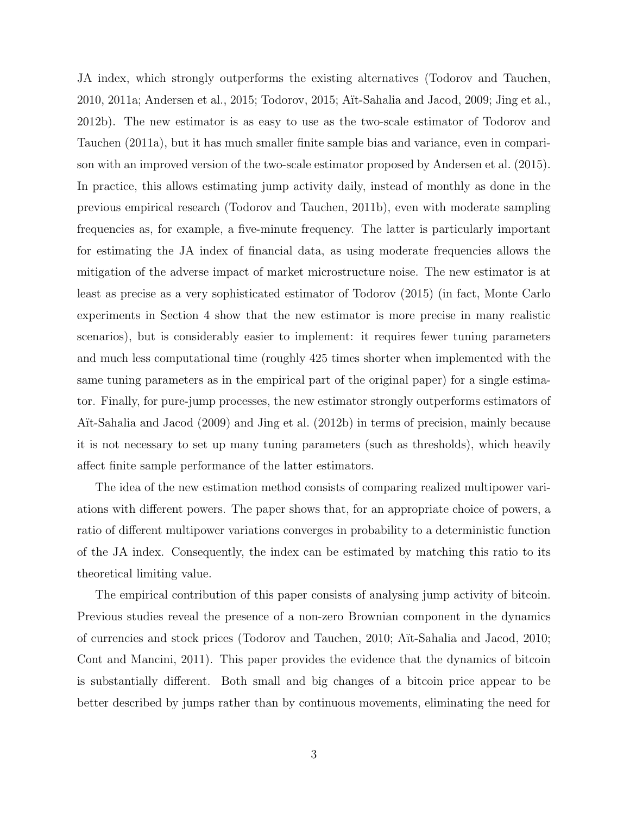JA index, which strongly outperforms the existing alternatives (Todorov and Tauchen, 2010, 2011a; Andersen et al., 2015; Todorov, 2015; A¨ıt-Sahalia and Jacod, 2009; Jing et al., 2012b). The new estimator is as easy to use as the two-scale estimator of Todorov and Tauchen (2011a), but it has much smaller finite sample bias and variance, even in comparison with an improved version of the two-scale estimator proposed by Andersen et al. (2015). In practice, this allows estimating jump activity daily, instead of monthly as done in the previous empirical research (Todorov and Tauchen, 2011b), even with moderate sampling frequencies as, for example, a five-minute frequency. The latter is particularly important for estimating the JA index of financial data, as using moderate frequencies allows the mitigation of the adverse impact of market microstructure noise. The new estimator is at least as precise as a very sophisticated estimator of Todorov (2015) (in fact, Monte Carlo experiments in Section 4 show that the new estimator is more precise in many realistic scenarios), but is considerably easier to implement: it requires fewer tuning parameters and much less computational time (roughly 425 times shorter when implemented with the same tuning parameters as in the empirical part of the original paper) for a single estimator. Finally, for pure-jump processes, the new estimator strongly outperforms estimators of Aït-Sahalia and Jacod (2009) and Jing et al. (2012b) in terms of precision, mainly because it is not necessary to set up many tuning parameters (such as thresholds), which heavily affect finite sample performance of the latter estimators.

The idea of the new estimation method consists of comparing realized multipower variations with different powers. The paper shows that, for an appropriate choice of powers, a ratio of different multipower variations converges in probability to a deterministic function of the JA index. Consequently, the index can be estimated by matching this ratio to its theoretical limiting value.

The empirical contribution of this paper consists of analysing jump activity of bitcoin. Previous studies reveal the presence of a non-zero Brownian component in the dynamics of currencies and stock prices (Todorov and Tauchen, 2010; A¨ıt-Sahalia and Jacod, 2010; Cont and Mancini, 2011). This paper provides the evidence that the dynamics of bitcoin is substantially different. Both small and big changes of a bitcoin price appear to be better described by jumps rather than by continuous movements, eliminating the need for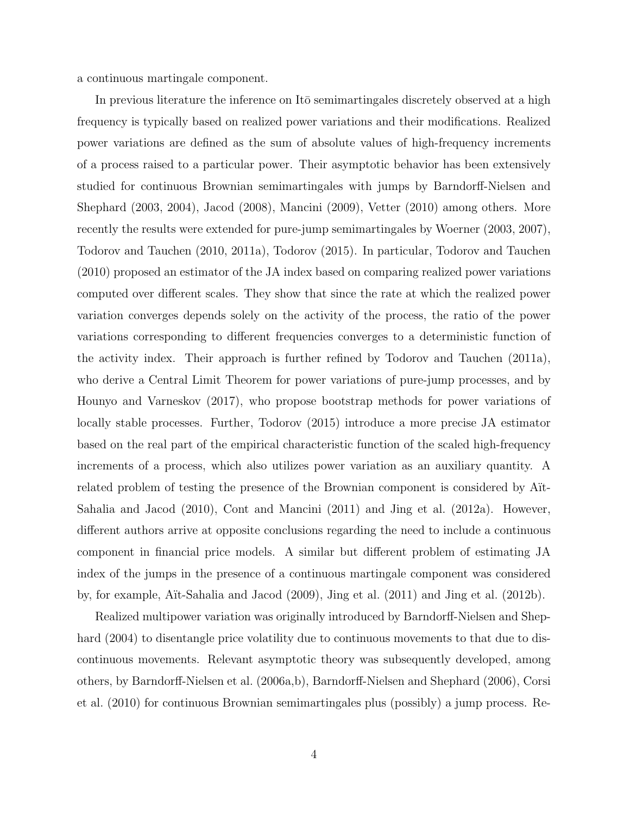a continuous martingale component.

In previous literature the inference on Itō semimartingales discretely observed at a high frequency is typically based on realized power variations and their modifications. Realized power variations are defined as the sum of absolute values of high-frequency increments of a process raised to a particular power. Their asymptotic behavior has been extensively studied for continuous Brownian semimartingales with jumps by Barndorff-Nielsen and Shephard (2003, 2004), Jacod (2008), Mancini (2009), Vetter (2010) among others. More recently the results were extended for pure-jump semimartingales by Woerner (2003, 2007), Todorov and Tauchen (2010, 2011a), Todorov (2015). In particular, Todorov and Tauchen (2010) proposed an estimator of the JA index based on comparing realized power variations computed over different scales. They show that since the rate at which the realized power variation converges depends solely on the activity of the process, the ratio of the power variations corresponding to different frequencies converges to a deterministic function of the activity index. Their approach is further refined by Todorov and Tauchen (2011a), who derive a Central Limit Theorem for power variations of pure-jump processes, and by Hounyo and Varneskov (2017), who propose bootstrap methods for power variations of locally stable processes. Further, Todorov (2015) introduce a more precise JA estimator based on the real part of the empirical characteristic function of the scaled high-frequency increments of a process, which also utilizes power variation as an auxiliary quantity. A related problem of testing the presence of the Brownian component is considered by A<sup>nt</sup> Sahalia and Jacod (2010), Cont and Mancini (2011) and Jing et al. (2012a). However, different authors arrive at opposite conclusions regarding the need to include a continuous component in financial price models. A similar but different problem of estimating JA index of the jumps in the presence of a continuous martingale component was considered by, for example, Aït-Sahalia and Jacod  $(2009)$ , Jing et al.  $(2011)$  and Jing et al.  $(2012b)$ .

Realized multipower variation was originally introduced by Barndorff-Nielsen and Shephard  $(2004)$  to disentangle price volatility due to continuous movements to that due to discontinuous movements. Relevant asymptotic theory was subsequently developed, among others, by Barndorff-Nielsen et al. (2006a,b), Barndorff-Nielsen and Shephard (2006), Corsi et al. (2010) for continuous Brownian semimartingales plus (possibly) a jump process. Re-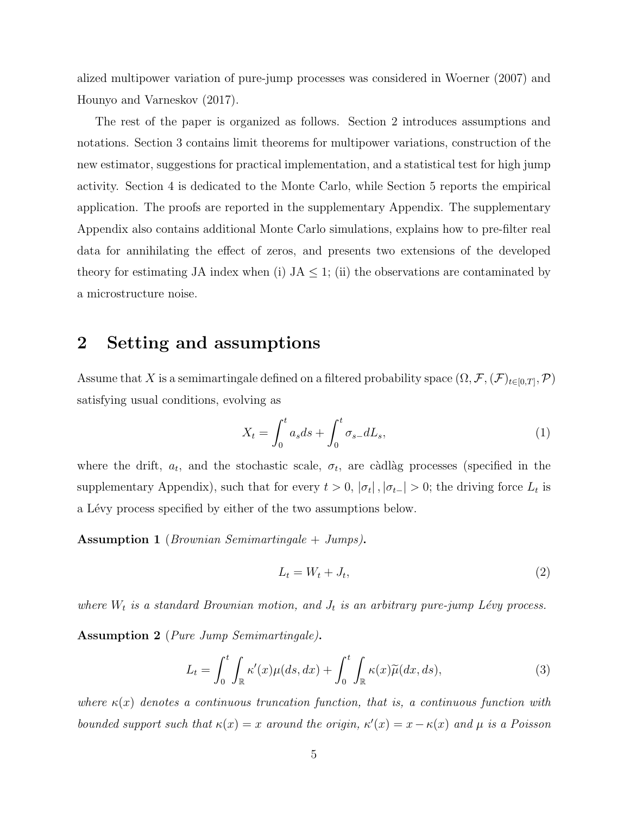alized multipower variation of pure-jump processes was considered in Woerner (2007) and Hounyo and Varneskov (2017).

The rest of the paper is organized as follows. Section 2 introduces assumptions and notations. Section 3 contains limit theorems for multipower variations, construction of the new estimator, suggestions for practical implementation, and a statistical test for high jump activity. Section 4 is dedicated to the Monte Carlo, while Section 5 reports the empirical application. The proofs are reported in the supplementary Appendix. The supplementary Appendix also contains additional Monte Carlo simulations, explains how to pre-filter real data for annihilating the effect of zeros, and presents two extensions of the developed theory for estimating JA index when (i)  $JA \leq 1$ ; (ii) the observations are contaminated by a microstructure noise.

## 2 Setting and assumptions

Assume that X is a semimartingale defined on a filtered probability space  $(\Omega, \mathcal{F}, (\mathcal{F})_{t\in[0,T]}, \mathcal{P})$ satisfying usual conditions, evolving as

$$
X_t = \int_0^t a_s ds + \int_0^t \sigma_{s-} dL_s,\tag{1}
$$

where the drift,  $a_t$ , and the stochastic scale,  $\sigma_t$ , are càdlàg processes (specified in the supplementary Appendix), such that for every  $t > 0$ ,  $|\sigma_t|$ ,  $|\sigma_{t-}| > 0$ ; the driving force  $L_t$  is a Lévy process specified by either of the two assumptions below.

Assumption 1 (Brownian Semimartingale + Jumps).

$$
L_t = W_t + J_t,\tag{2}
$$

where  $W_t$  is a standard Brownian motion, and  $J_t$  is an arbitrary pure-jump Lévy process.

Assumption 2 (Pure Jump Semimartingale).

$$
L_t = \int_0^t \int_{\mathbb{R}} \kappa'(x) \mu(ds, dx) + \int_0^t \int_{\mathbb{R}} \kappa(x) \widetilde{\mu}(dx, ds), \tag{3}
$$

where  $\kappa(x)$  denotes a continuous truncation function, that is, a continuous function with bounded support such that  $\kappa(x) = x$  around the origin,  $\kappa'(x) = x - \kappa(x)$  and  $\mu$  is a Poisson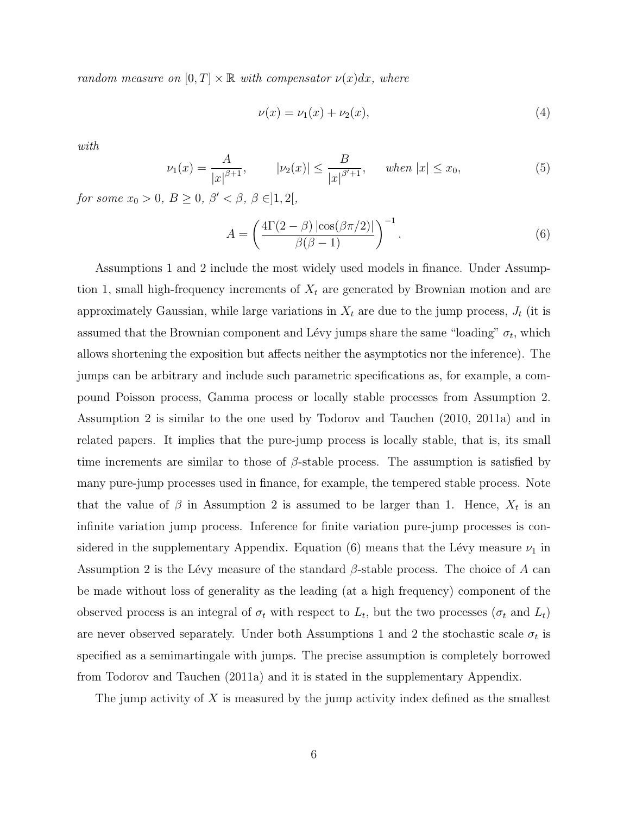random measure on  $[0, T] \times \mathbb{R}$  with compensator  $\nu(x)dx$ , where

$$
\nu(x) = \nu_1(x) + \nu_2(x),\tag{4}
$$

with

$$
\nu_1(x) = \frac{A}{|x|^{\beta+1}}, \qquad |\nu_2(x)| \le \frac{B}{|x|^{\beta+1}}, \qquad when \ |x| \le x_0,
$$
 (5)

for some  $x_0 > 0$ ,  $B \ge 0$ ,  $\beta' < \beta$ ,  $\beta \in ]1,2[$ ,

$$
A = \left(\frac{4\Gamma(2-\beta)\left|\cos(\beta\pi/2)\right|}{\beta(\beta-1)}\right)^{-1}.
$$
\n(6)

Assumptions 1 and 2 include the most widely used models in finance. Under Assumption 1, small high-frequency increments of  $X_t$  are generated by Brownian motion and are approximately Gaussian, while large variations in  $X_t$  are due to the jump process,  $J_t$  (it is assumed that the Brownian component and Lévy jumps share the same "loading"  $\sigma_t$ , which allows shortening the exposition but affects neither the asymptotics nor the inference). The jumps can be arbitrary and include such parametric specifications as, for example, a compound Poisson process, Gamma process or locally stable processes from Assumption 2. Assumption 2 is similar to the one used by Todorov and Tauchen (2010, 2011a) and in related papers. It implies that the pure-jump process is locally stable, that is, its small time increments are similar to those of  $\beta$ -stable process. The assumption is satisfied by many pure-jump processes used in finance, for example, the tempered stable process. Note that the value of  $\beta$  in Assumption 2 is assumed to be larger than 1. Hence,  $X_t$  is an infinite variation jump process. Inference for finite variation pure-jump processes is considered in the supplementary Appendix. Equation (6) means that the Lévy measure  $\nu_1$  in Assumption 2 is the Lévy measure of the standard  $\beta$ -stable process. The choice of A can be made without loss of generality as the leading (at a high frequency) component of the observed process is an integral of  $\sigma_t$  with respect to  $L_t$ , but the two processes  $(\sigma_t$  and  $L_t)$ are never observed separately. Under both Assumptions 1 and 2 the stochastic scale  $\sigma_t$  is specified as a semimartingale with jumps. The precise assumption is completely borrowed from Todorov and Tauchen (2011a) and it is stated in the supplementary Appendix.

The jump activity of  $X$  is measured by the jump activity index defined as the smallest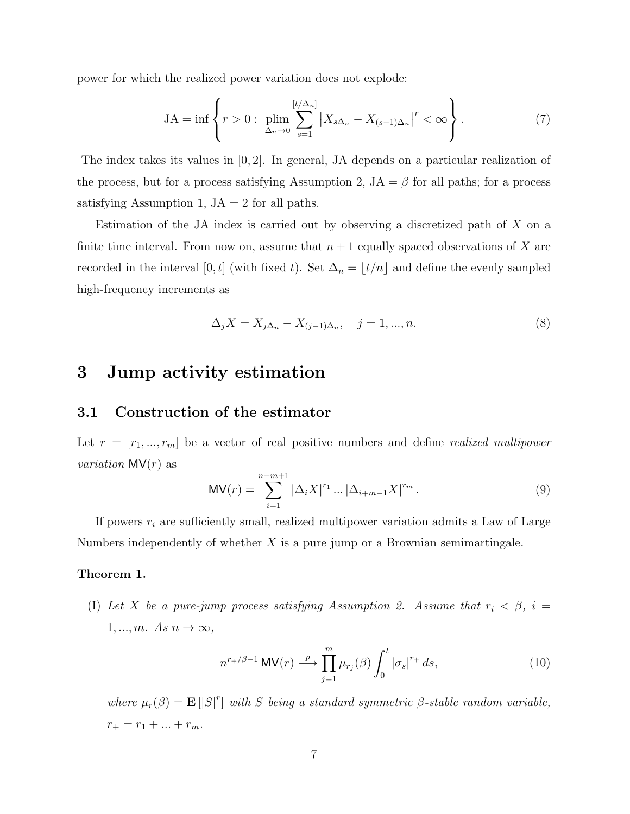power for which the realized power variation does not explode:

$$
JA = \inf \left\{ r > 0: \lim_{\Delta_n \to 0} \sum_{s=1}^{[t/\Delta_n]} \left| X_{s\Delta_n} - X_{(s-1)\Delta_n} \right|^r < \infty \right\}.
$$

The index takes its values in [0, 2]. In general, JA depends on a particular realization of the process, but for a process satisfying Assumption 2,  $JA = \beta$  for all paths; for a process satisfying Assumption 1,  $JA = 2$  for all paths.

Estimation of the JA index is carried out by observing a discretized path of X on a finite time interval. From now on, assume that  $n+1$  equally spaced observations of X are recorded in the interval [0, t] (with fixed t). Set  $\Delta_n = \lfloor t/n \rfloor$  and define the evenly sampled high-frequency increments as

$$
\Delta_j X = X_{j\Delta_n} - X_{(j-1)\Delta_n}, \quad j = 1, ..., n. \tag{8}
$$

## 3 Jump activity estimation

## 3.1 Construction of the estimator

Let  $r = [r_1, ..., r_m]$  be a vector of real positive numbers and define *realized multipower variation*  $MV(r)$  as

$$
MV(r) = \sum_{i=1}^{n-m+1} |\Delta_i X|^{r_1} \dots |\Delta_{i+m-1} X|^{r_m}.
$$
 (9)

If powers  $r_i$  are sufficiently small, realized multipower variation admits a Law of Large Numbers independently of whether  $X$  is a pure jump or a Brownian semimartingale.

### Theorem 1.

(I) Let X be a pure-jump process satisfying Assumption 2. Assume that  $r_i < \beta$ ,  $i =$  $1, ..., m$ . As  $n \to \infty$ ,

$$
n^{r+\beta-1} \text{MV}(r) \stackrel{p}{\longrightarrow} \prod_{j=1}^{m} \mu_{r_j}(\beta) \int_0^t |\sigma_s|^{r+} ds,
$$
\n(10)

where  $\mu_r(\beta) = \mathbf{E} [|S|^r]$  with S being a standard symmetric  $\beta$ -stable random variable,  $r_{+} = r_{1} + ... + r_{m}$ .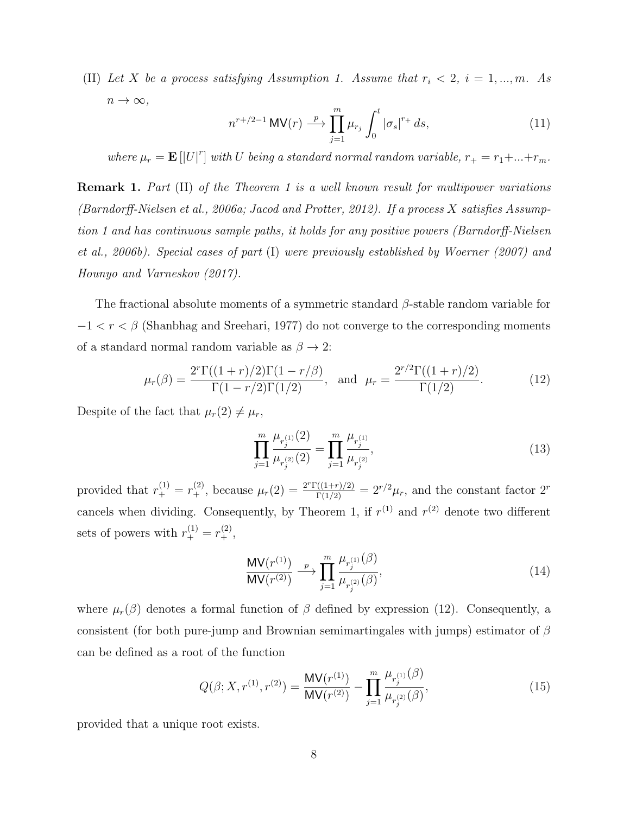(II) Let X be a process satisfying Assumption 1. Assume that  $r_i < 2$ ,  $i = 1, ..., m$ . As  $n \to \infty$ ,

$$
n^{r+2-1}\,\mathsf{MV}(r) \stackrel{p}{\longrightarrow} \prod_{j=1}^{m} \mu_{r_j} \int_0^t |\sigma_s|^{r+} ds,\tag{11}
$$

where  $\mu_r = \mathbf{E} [U^r]$  with U being a standard normal random variable,  $r_+ = r_1 + ... + r_m$ .

Remark 1. Part (II) of the Theorem 1 is a well known result for multipower variations (Barndorff-Nielsen et al., 2006a; Jacod and Protter, 2012). If a process X satisfies Assumption 1 and has continuous sample paths, it holds for any positive powers (Barndorff-Nielsen et al., 2006b). Special cases of part (I) were previously established by Woerner (2007) and Hounyo and Varneskov (2017).

The fractional absolute moments of a symmetric standard  $\beta$ -stable random variable for  $-1 < r < \beta$  (Shanbhag and Sreehari, 1977) do not converge to the corresponding moments of a standard normal random variable as  $\beta \to 2$ :

$$
\mu_r(\beta) = \frac{2^r \Gamma((1+r)/2) \Gamma(1-r/\beta)}{\Gamma(1-r/2) \Gamma(1/2)}, \text{ and } \mu_r = \frac{2^{r/2} \Gamma((1+r)/2)}{\Gamma(1/2)}.
$$
 (12)

Despite of the fact that  $\mu_r(2) \neq \mu_r$ ,

$$
\prod_{j=1}^{m} \frac{\mu_{r_j^{(1)}}(2)}{\mu_{r_j^{(2)}}(2)} = \prod_{j=1}^{m} \frac{\mu_{r_j^{(1)}}}{\mu_{r_j^{(2)}}},
$$
\n(13)

provided that  $r_+^{(1)} = r_+^{(2)}$ , because  $\mu_r(2) = \frac{2^r \Gamma((1+r)/2)}{\Gamma(1/2)} = 2^{r/2} \mu_r$ , and the constant factor  $2^r$ cancels when dividing. Consequently, by Theorem 1, if  $r^{(1)}$  and  $r^{(2)}$  denote two different sets of powers with  $r_+^{(1)} = r_+^{(2)}$ ,

$$
\frac{\text{MV}(r^{(1)})}{\text{MV}(r^{(2)})} \xrightarrow{p} \prod_{j=1}^{m} \frac{\mu_{r_j^{(1)}}(\beta)}{\mu_{r_j^{(2)}}(\beta)},
$$
\n(14)

where  $\mu_r(\beta)$  denotes a formal function of  $\beta$  defined by expression (12). Consequently, a consistent (for both pure-jump and Brownian semimartingales with jumps) estimator of  $\beta$ can be defined as a root of the function

$$
Q(\beta; X, r^{(1)}, r^{(2)}) = \frac{\mathsf{MV}(r^{(1)})}{\mathsf{MV}(r^{(2)})} - \prod_{j=1}^m \frac{\mu_{r_j^{(1)}}(\beta)}{\mu_{r_j^{(2)}}(\beta)},\tag{15}
$$

provided that a unique root exists.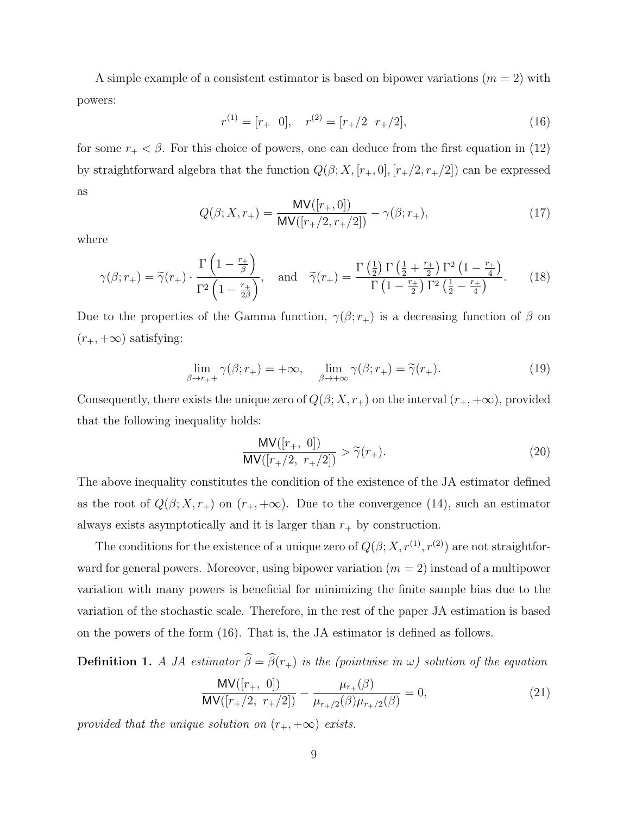A simple example of a consistent estimator is based on bipower variations  $(m = 2)$  with powers:

$$
r^{(1)} = [r_+ \ 0], \quad r^{(2)} = [r_+/2 \ r_+/2], \tag{16}
$$

for some  $r_{+} < \beta$ . For this choice of powers, one can deduce from the first equation in (12) by straightforward algebra that the function  $Q(\beta; X, [r_+, 0], [r_+/2, r_+/2])$  can be expressed as

$$
Q(\beta; X, r_{+}) = \frac{\text{MV}([r_{+}, 0])}{\text{MV}([r_{+}/2, r_{+}/2])} - \gamma(\beta; r_{+}),
$$
\n(17)

where

$$
\gamma(\beta; r_{+}) = \widetilde{\gamma}(r_{+}) \cdot \frac{\Gamma\left(1 - \frac{r_{+}}{\beta}\right)}{\Gamma^{2}\left(1 - \frac{r_{+}}{2\beta}\right)}, \quad \text{and} \quad \widetilde{\gamma}(r_{+}) = \frac{\Gamma\left(\frac{1}{2}\right)\Gamma\left(\frac{1}{2} + \frac{r_{+}}{2}\right)\Gamma^{2}\left(1 - \frac{r_{+}}{4}\right)}{\Gamma\left(1 - \frac{r_{+}}{2}\right)\Gamma^{2}\left(\frac{1}{2} - \frac{r_{+}}{4}\right)}.
$$
 (18)

Due to the properties of the Gamma function,  $\gamma(\beta; r_+)$  is a decreasing function of  $\beta$  on  $(r_+,+\infty)$  satisfying:

$$
\lim_{\beta \to r_+^+} \gamma(\beta; r_+) = +\infty, \quad \lim_{\beta \to +\infty} \gamma(\beta; r_+) = \tilde{\gamma}(r_+). \tag{19}
$$

Consequently, there exists the unique zero of  $Q(\beta; X, r_+)$  on the interval  $(r_+, +\infty)$ , provided that the following inequality holds:

$$
\frac{\mathsf{MV}([r_+, 0])}{\mathsf{MV}([r_+/2, r_+/2])} > \widetilde{\gamma}(r_+).
$$
\n(20)

The above inequality constitutes the condition of the existence of the JA estimator defined as the root of  $Q(\beta; X, r_+)$  on  $(r_+, +\infty)$ . Due to the convergence (14), such an estimator always exists asymptotically and it is larger than  $r_{+}$  by construction.

The conditions for the existence of a unique zero of  $Q(\beta; X, r^{(1)}, r^{(2)})$  are not straightforward for general powers. Moreover, using bipower variation  $(m = 2)$  instead of a multipower variation with many powers is beneficial for minimizing the finite sample bias due to the variation of the stochastic scale. Therefore, in the rest of the paper JA estimation is based on the powers of the form (16). That is, the JA estimator is defined as follows.

**Definition 1.** A JA estimator  $\widehat{\beta} = \widehat{\beta}(r_+)$  is the (pointwise in  $\omega$ ) solution of the equation

$$
\frac{\mathsf{MV}([r_+, 0])}{\mathsf{MV}([r_+/2, r_+/2])} - \frac{\mu_{r_+}(\beta)}{\mu_{r_+/2}(\beta)\mu_{r_+/2}(\beta)} = 0,
$$
\n(21)

provided that the unique solution on  $(r_{+}, +\infty)$  exists.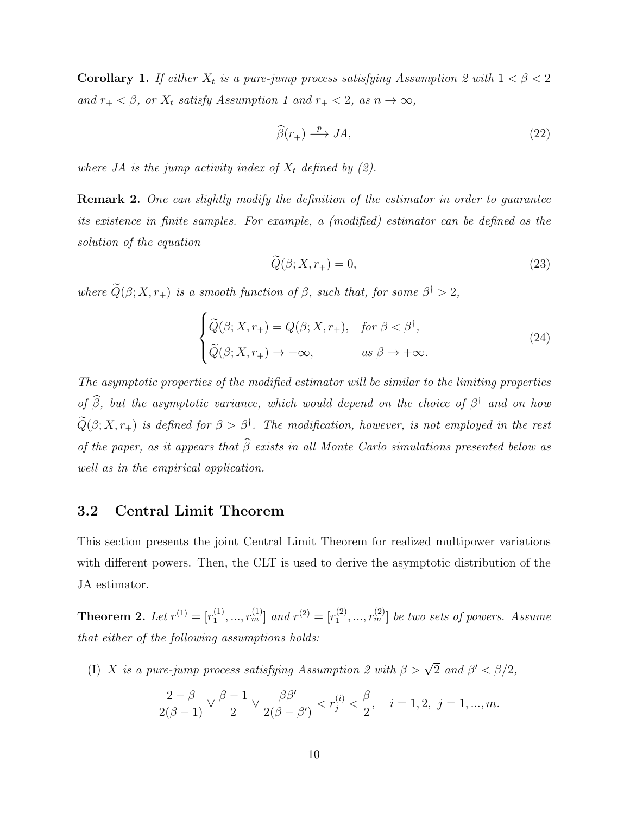Corollary 1. If either  $X_t$  is a pure-jump process satisfying Assumption 2 with  $1 < \beta < 2$ and  $r_{+} < \beta$ , or  $X_t$  satisfy Assumption 1 and  $r_{+} < 2$ , as  $n \to \infty$ ,

$$
\widehat{\beta}(r_+) \xrightarrow{p} JA,\tag{22}
$$

where JA is the jump activity index of  $X_t$  defined by (2).

Remark 2. One can slightly modify the definition of the estimator in order to guarantee its existence in finite samples. For example, a (modified) estimator can be defined as the solution of the equation

$$
Q(\beta; X, r_+) = 0,\t\t(23)
$$

where  $\tilde{Q}(\beta; X, r_+)$  is a smooth function of  $\beta$ , such that, for some  $\beta^{\dagger} > 2$ ,

$$
\begin{cases} \widetilde{Q}(\beta; X, r_{+}) = Q(\beta; X, r_{+}), & \text{for } \beta < \beta^{\dagger}, \\ \widetilde{Q}(\beta; X, r_{+}) \to -\infty, & \text{as } \beta \to +\infty. \end{cases}
$$
 (24)

The asymptotic properties of the modified estimator will be similar to the limiting properties of  $\hat{\beta}$ , but the asymptotic variance, which would depend on the choice of  $\beta^{\dagger}$  and on how  $\widetilde{Q}(\beta;X,r_+)$  is defined for  $\beta > \beta^{\dagger}$ . The modification, however, is not employed in the rest of the paper, as it appears that  $\widehat{\beta}$  exists in all Monte Carlo simulations presented below as well as in the empirical application.

## 3.2 Central Limit Theorem

This section presents the joint Central Limit Theorem for realized multipower variations with different powers. Then, the CLT is used to derive the asymptotic distribution of the JA estimator.

**Theorem 2.** Let  $r^{(1)} = [r_1^{(1)}]$  $\binom{1}{1}, \ldots, r_m^{(1)}$  and  $r^{(2)} = [r_1^{(2)}]$  $\{ \boldsymbol{r}^{(2)}_1,...,\boldsymbol{r}^{(2)}_m \}$  be two sets of powers. Assume that either of the following assumptions holds:

(I) X is a pure-jump process satisfying Assumption 2 with  $\beta > \sqrt{2}$  and  $\beta' < \beta/2$ ,

$$
\frac{2-\beta}{2(\beta-1)} \vee \frac{\beta-1}{2} \vee \frac{\beta \beta'}{2(\beta-\beta')} < r_j^{(i)} < \frac{\beta}{2}, \quad i = 1, 2, \ j = 1, ..., m.
$$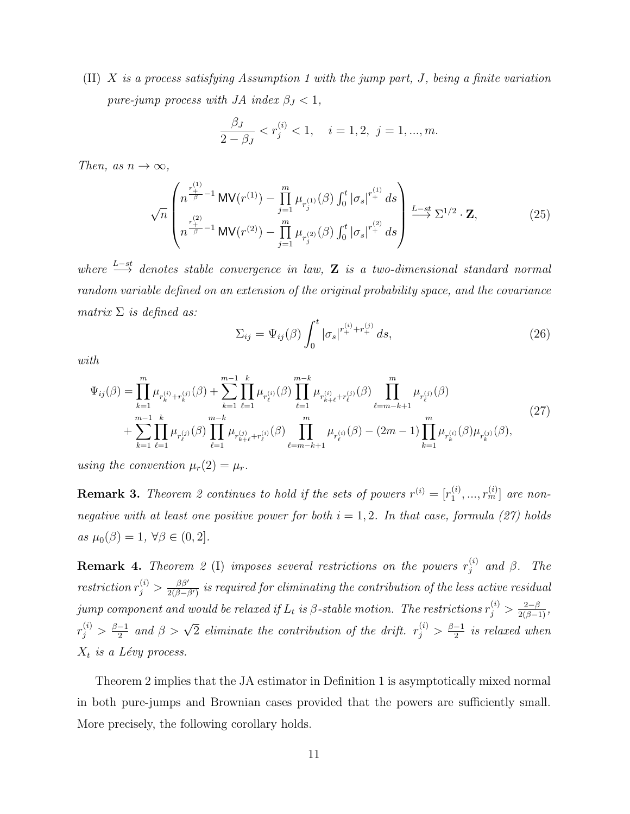(II) X is a process satisfying Assumption 1 with the jump part, J, being a finite variation pure-jump process with JA index  $\beta_J < 1$ ,

$$
\frac{\beta_J}{2-\beta_J} < r_j^{(i)} < 1, \quad i = 1, 2, \ j = 1, \dots, m.
$$

Then, as  $n \to \infty$ ,

$$
\sqrt{n}\left(\begin{matrix}r_{+}^{(1)} \\ n^{-\beta} \\ \vdots \\ r_{+}^{(2)} \end{matrix} \text{MV}(r_{-}^{(1)}) - \prod_{j=1}^{m} \mu_{r_{j}^{(1)}}(\beta) \int_{0}^{t} |\sigma_{s}|^{r_{+}^{(1)}} ds \right) \xrightarrow{L-st} \Sigma^{1/2} \cdot \mathbf{Z},
$$
(25)

where  $\xrightarrow{L-st}$  denotes stable convergence in law, **Z** is a two-dimensional standard normal random variable defined on an extension of the original probability space, and the covariance matrix  $\Sigma$  is defined as:

$$
\Sigma_{ij} = \Psi_{ij}(\beta) \int_0^t |\sigma_s|^{r_+^{(i)} + r_+^{(j)}} ds,
$$
\n(26)

with

$$
\Psi_{ij}(\beta) = \prod_{k=1}^{m} \mu_{r_k^{(i)} + r_k^{(j)}}(\beta) + \sum_{k=1}^{m-1} \prod_{\ell=1}^{k} \mu_{r_\ell^{(i)}}(\beta) \prod_{\ell=1}^{m-k} \mu_{r_{k+\ell}^{(i)}}(\beta) \prod_{\ell=m-k+1}^{m} \mu_{r_\ell^{(j)}}(\beta) + \sum_{k=1}^{m-1} \prod_{\ell=1}^{k} \mu_{r_\ell^{(j)}}(\beta) \prod_{\ell=m-k+1}^{m-k} \mu_{r_\ell^{(i)}}(\beta) \prod_{\ell=m-k+1}^{m} \mu_{r_\ell^{(i)}}(\beta) - (2m-1) \prod_{k=1}^{m} \mu_{r_k^{(i)}}(\beta) \mu_{r_k^{(j)}}(\beta),
$$
\n(27)

using the convention  $\mu_r(2) = \mu_r$ .

**Remark 3.** Theorem 2 continues to hold if the sets of powers  $r^{(i)} = [r_1^{(i)}]$  $\left[ \begin{smallmatrix} (i)\ 1 \end{smallmatrix} \right],...,r_{m}^{(i)}]$  are nonnegative with at least one positive power for both  $i = 1, 2$ . In that case, formula (27) holds as  $\mu_0(\beta) = 1, \forall \beta \in (0, 2].$ 

**Remark 4.** Theorem 2 (I) imposes several restrictions on the powers  $r_i^{(i)}$  $j^{(i)}$  and  $\beta$ . The restriction  $r_j^{(i)} > \frac{\beta \beta'}{2(\beta - \beta)}$  $\frac{\beta\beta'}{2(\beta-\beta')}$  is required for eliminating the contribution of the less active residual jump component and would be relaxed if  $L_t$  is  $\beta$ -stable motion. The restrictions  $r_j^{(i)} > \frac{2-\beta}{2(\beta-1)}$ ,  $r_j^{(i)} > \frac{\beta-1}{2}$  $\frac{-1}{2}$  and  $\beta > \sqrt{2}$  eliminate the contribution of the drift.  $r_j^{(i)} > \frac{\beta - 1}{2}$  $\frac{-1}{2}$  is relaxed when  $X_t$  is a Lévy process.

Theorem 2 implies that the JA estimator in Definition 1 is asymptotically mixed normal in both pure-jumps and Brownian cases provided that the powers are sufficiently small. More precisely, the following corollary holds.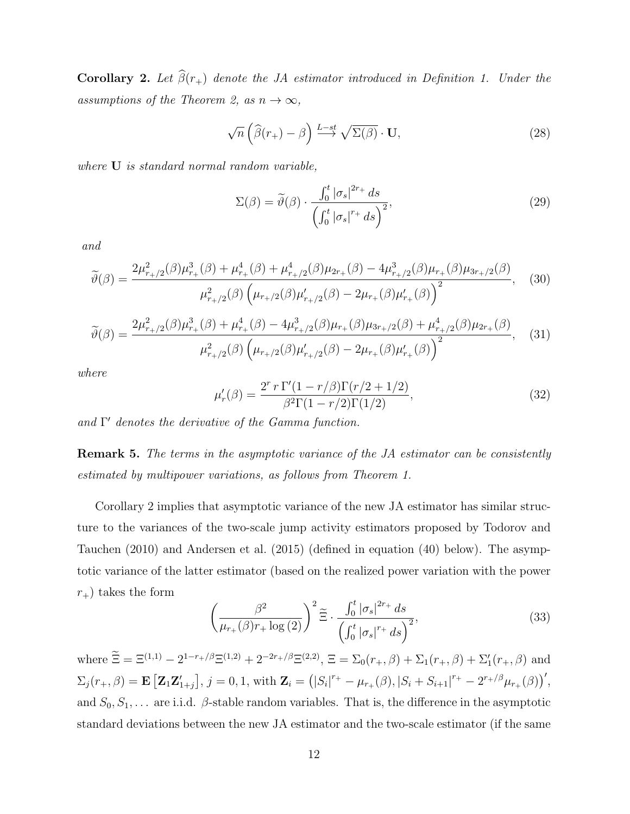**Corollary 2.** Let  $\widehat{\beta}(r_+)$  denote the JA estimator introduced in Definition 1. Under the assumptions of the Theorem 2, as  $n \to \infty$ ,

$$
\sqrt{n}\left(\widehat{\beta}(r_{+})-\beta\right) \stackrel{L-st}{\longrightarrow} \sqrt{\Sigma(\beta)} \cdot \mathbf{U},\tag{28}
$$

where **U** is standard normal random variable,

$$
\Sigma(\beta) = \tilde{\vartheta}(\beta) \cdot \frac{\int_0^t |\sigma_s|^{2r_+} ds}{\left(\int_0^t |\sigma_s|^{r_+} ds\right)^2},\tag{29}
$$

and

$$
\widetilde{\vartheta}(\beta) = \frac{2\mu_{r+2}^2(\beta)\mu_{r+}^3(\beta) + \mu_{r+}^4(\beta) + \mu_{r+2}^4(\beta)\mu_{2r+}(\beta) - 4\mu_{r+2}^3(\beta)\mu_{r+}(\beta)\mu_{3r+2}(\beta)}{\mu_{r+2}^2(\beta)\left(\mu_{r+2}(\beta)\mu_{r+2}'(\beta) - 2\mu_{r+}(\beta)\mu_{r+}'(\beta)\right)^2},
$$
\n(30)

$$
\widetilde{\vartheta}(\beta) = \frac{2\mu_{r+2}^2(\beta)\mu_{r+}^3(\beta) + \mu_{r+}^4(\beta) - 4\mu_{r+2}^3(\beta)\mu_{r+}(\beta)\mu_{3r+2}(\beta) + \mu_{r+2}^4(\beta)\mu_{2r+}(\beta)}{\mu_{r+2}^2(\beta)\left(\mu_{r+2}(\beta)\mu_{r+2}'(\beta) - 2\mu_{r+}(\beta)\mu_{r+}'(\beta)\right)^2},
$$
(31)

where

$$
\mu'_r(\beta) = \frac{2^r r \Gamma'(1 - r/\beta) \Gamma(r/2 + 1/2)}{\beta^2 \Gamma(1 - r/2) \Gamma(1/2)},
$$
\n(32)

and  $\Gamma'$  denotes the derivative of the Gamma function.

Remark 5. The terms in the asymptotic variance of the JA estimator can be consistently estimated by multipower variations, as follows from Theorem 1.

Corollary 2 implies that asymptotic variance of the new JA estimator has similar structure to the variances of the two-scale jump activity estimators proposed by Todorov and Tauchen (2010) and Andersen et al. (2015) (defined in equation (40) below). The asymptotic variance of the latter estimator (based on the realized power variation with the power  $r_{+}$ ) takes the form

$$
\left(\frac{\beta^2}{\mu_{r_+}(\beta)r_+\log(2)}\right)^2 \widetilde{\Xi} \cdot \frac{\int_0^t |\sigma_s|^{2r_+} ds}{\left(\int_0^t |\sigma_s|^{r_+} ds\right)^2},\tag{33}
$$

where  $\Xi = \Xi^{(1,1)} - 2^{1-r_+/\beta} \Xi^{(1,2)} + 2^{-2r_+/\beta} \Xi^{(2,2)}$ ,  $\Xi = \Sigma_0(r_+,\beta) + \Sigma_1(r_+,\beta) + \Sigma_1'(r_+,\beta)$  and  $\Sigma_j(r_+,\beta) = \mathbf{E}\left[\mathbf{Z}_1\mathbf{Z}_{1+j}^\prime\right], j=0,1$ , with  $\mathbf{Z}_i = (|S_i|^{r_+} - \mu_{r_+}(\beta), |S_i + S_{i+1}|^{r_+} - 2^{r_+/\beta}\mu_{r_+}(\beta))^\prime$ , and  $S_0, S_1, \ldots$  are i.i.d.  $\beta$ -stable random variables. That is, the difference in the asymptotic standard deviations between the new JA estimator and the two-scale estimator (if the same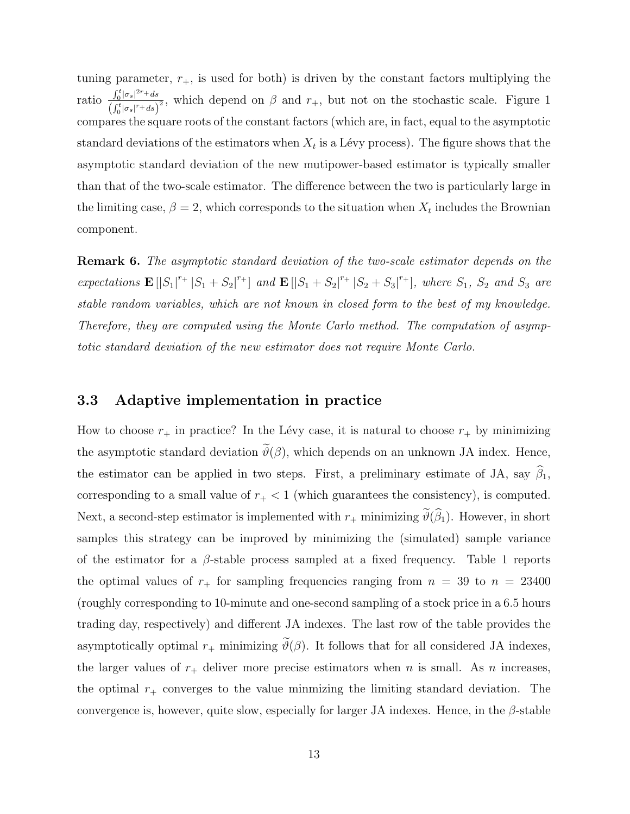tuning parameter,  $r_{+}$ , is used for both) is driven by the constant factors multiplying the ratio  $\frac{\int_0^t |\sigma_s|^{2r} ds}{\sqrt{ct}$  $\frac{\int_0^{\infty} |g(s)|^2 ds}{\int_0^t |g(s)|^2 ds}$ , which depend on  $\beta$  and  $r_+$ , but not on the stochastic scale. Figure 1 compares the square roots of the constant factors (which are, in fact, equal to the asymptotic standard deviations of the estimators when  $X_t$  is a Lévy process). The figure shows that the asymptotic standard deviation of the new mutipower-based estimator is typically smaller than that of the two-scale estimator. The difference between the two is particularly large in the limiting case,  $\beta = 2$ , which corresponds to the situation when  $X_t$  includes the Brownian component.

Remark 6. The asymptotic standard deviation of the two-scale estimator depends on the expectations  $\mathbf{E} [|S_1|^{r_+} |S_1 + S_2|^{r_+}]$  and  $\mathbf{E} [|S_1 + S_2|^{r_+} |S_2 + S_3|^{r_+}],$  where  $S_1$ ,  $S_2$  and  $S_3$  are stable random variables, which are not known in closed form to the best of my knowledge. Therefore, they are computed using the Monte Carlo method. The computation of asymptotic standard deviation of the new estimator does not require Monte Carlo.

### 3.3 Adaptive implementation in practice

How to choose  $r_+$  in practice? In the Lévy case, it is natural to choose  $r_+$  by minimizing the asymptotic standard deviation  $\vartheta(\beta)$ , which depends on an unknown JA index. Hence, the estimator can be applied in two steps. First, a preliminary estimate of JA, say  $\hat{\beta}_1$ , corresponding to a small value of  $r_{+}$  < 1 (which guarantees the consistency), is computed. Next, a second-step estimator is implemented with  $r_+$  minimizing  $\tilde{\vartheta}(\hat{\beta}_1)$ . However, in short samples this strategy can be improved by minimizing the (simulated) sample variance of the estimator for a  $\beta$ -stable process sampled at a fixed frequency. Table 1 reports the optimal values of  $r_{+}$  for sampling frequencies ranging from  $n = 39$  to  $n = 23400$ (roughly corresponding to 10-minute and one-second sampling of a stock price in a 6.5 hours trading day, respectively) and different JA indexes. The last row of the table provides the asymptotically optimal  $r_+$  minimizing  $\tilde{\vartheta}(\beta)$ . It follows that for all considered JA indexes, the larger values of  $r_+$  deliver more precise estimators when n is small. As n increases, the optimal  $r_{+}$  converges to the value minmizing the limiting standard deviation. The convergence is, however, quite slow, especially for larger JA indexes. Hence, in the  $\beta$ -stable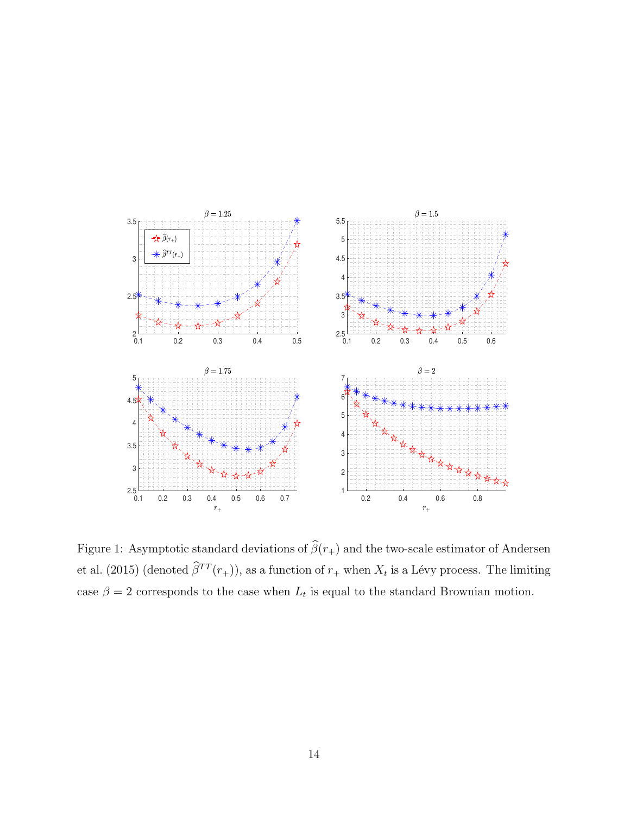

Figure 1: Asymptotic standard deviations of  $\widehat{\beta}(r_+)$  and the two-scale estimator of Andersen et al. (2015) (denoted  $\beta^{TT}(r_+)$ ), as a function of  $r_+$  when  $X_t$  is a Lévy process. The limiting case  $\beta = 2$  corresponds to the case when  $L_t$  is equal to the standard Brownian motion.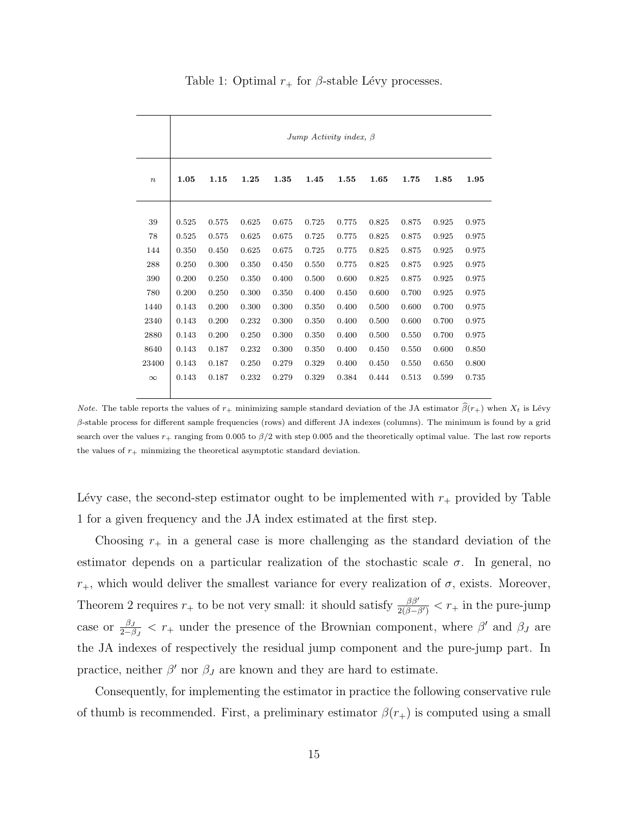|          | Jump Activity index, $\beta$ |       |       |       |       |       |       |       |       |       |
|----------|------------------------------|-------|-------|-------|-------|-------|-------|-------|-------|-------|
| $\, n$   | 1.05                         | 1.15  | 1.25  | 1.35  | 1.45  | 1.55  | 1.65  | 1.75  | 1.85  | 1.95  |
| 39       | 0.525                        | 0.575 | 0.625 | 0.675 | 0.725 | 0.775 | 0.825 | 0.875 | 0.925 | 0.975 |
| 78       | 0.525                        | 0.575 | 0.625 | 0.675 | 0.725 | 0.775 | 0.825 | 0.875 | 0.925 | 0.975 |
| 144      | 0.350                        | 0.450 | 0.625 | 0.675 | 0.725 | 0.775 | 0.825 | 0.875 | 0.925 | 0.975 |
| 288      | 0.250                        | 0.300 | 0.350 | 0.450 | 0.550 | 0.775 | 0.825 | 0.875 | 0.925 | 0.975 |
| 390      | 0.200                        | 0.250 | 0.350 | 0.400 | 0.500 | 0.600 | 0.825 | 0.875 | 0.925 | 0.975 |
| 780      | 0.200                        | 0.250 | 0.300 | 0.350 | 0.400 | 0.450 | 0.600 | 0.700 | 0.925 | 0.975 |
| 1440     | 0.143                        | 0.200 | 0.300 | 0.300 | 0.350 | 0.400 | 0.500 | 0.600 | 0.700 | 0.975 |
| 2340     | 0.143                        | 0.200 | 0.232 | 0.300 | 0.350 | 0.400 | 0.500 | 0.600 | 0.700 | 0.975 |
| 2880     | 0.143                        | 0.200 | 0.250 | 0.300 | 0.350 | 0.400 | 0.500 | 0.550 | 0.700 | 0.975 |
| 8640     | 0.143                        | 0.187 | 0.232 | 0.300 | 0.350 | 0.400 | 0.450 | 0.550 | 0.600 | 0.850 |
| 23400    | 0.143                        | 0.187 | 0.250 | 0.279 | 0.329 | 0.400 | 0.450 | 0.550 | 0.650 | 0.800 |
| $\infty$ | 0.143                        | 0.187 | 0.232 | 0.279 | 0.329 | 0.384 | 0.444 | 0.513 | 0.599 | 0.735 |

Table 1: Optimal  $r_+$  for  $\beta$ -stable Lévy processes.

*Note.* The table reports the values of  $r_+$  minimizing sample standard deviation of the JA estimator  $\hat{\beta}(r_+)$  when  $X_t$  is Lévy β-stable process for different sample frequencies (rows) and different JA indexes (columns). The minimum is found by a grid search over the values  $r_+$  ranging from 0.005 to  $\beta/2$  with step 0.005 and the theoretically optimal value. The last row reports the values of  $r_{+}$  minmizing the theoretical asymptotic standard deviation.

Lévy case, the second-step estimator ought to be implemented with  $r_+$  provided by Table 1 for a given frequency and the JA index estimated at the first step.

Choosing  $r_+$  in a general case is more challenging as the standard deviation of the estimator depends on a particular realization of the stochastic scale  $\sigma$ . In general, no  $r_{+}$ , which would deliver the smallest variance for every realization of  $\sigma$ , exists. Moreover, Theorem 2 requires  $r_+$  to be not very small: it should satisfy  $\frac{\beta \beta'}{2(\beta - \beta')} < r_+$  in the pure-jump case or  $\frac{\beta_J}{2-\beta_J} < r_+$  under the presence of the Brownian component, where  $\beta'$  and  $\beta_J$  are the JA indexes of respectively the residual jump component and the pure-jump part. In practice, neither  $\beta'$  nor  $\beta_J$  are known and they are hard to estimate.

Consequently, for implementing the estimator in practice the following conservative rule of thumb is recommended. First, a preliminary estimator  $\beta(r_+)$  is computed using a small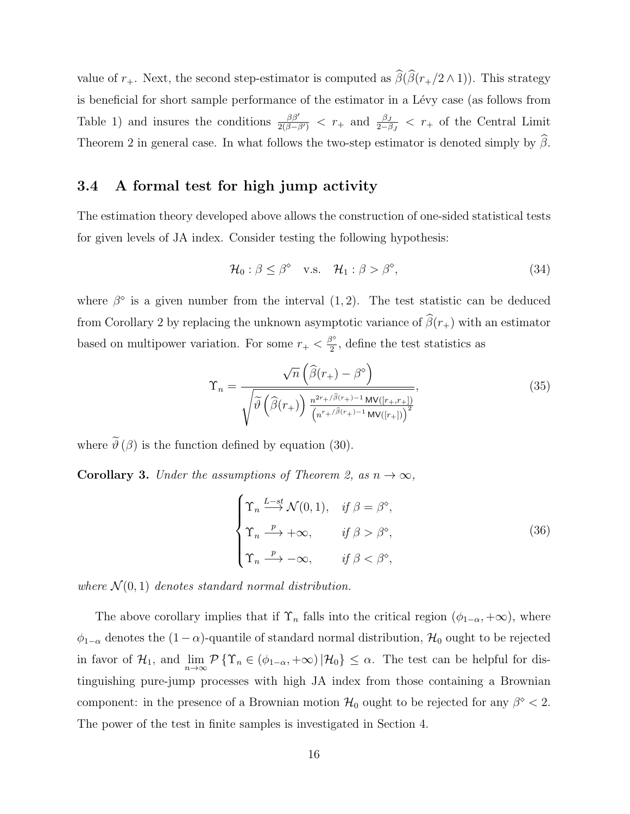value of  $r_+$ . Next, the second step-estimator is computed as  $\widehat{\beta}(\widehat{\beta}(r_+/2 \wedge 1))$ . This strategy is beneficial for short sample performance of the estimator in a Lévy case (as follows from Table 1) and insures the conditions  $\frac{\beta\beta'}{2(\beta-\beta')} < r_+$  and  $\frac{\beta J}{2-\beta J} < r_+$  of the Central Limit Theorem 2 in general case. In what follows the two-step estimator is denoted simply by  $\beta$ .

## 3.4 A formal test for high jump activity

The estimation theory developed above allows the construction of one-sided statistical tests for given levels of JA index. Consider testing the following hypothesis:

$$
\mathcal{H}_0: \beta \le \beta^\diamond \quad \text{v.s.} \quad \mathcal{H}_1: \beta > \beta^\diamond,\tag{34}
$$

where  $\beta^{\circ}$  is a given number from the interval  $(1, 2)$ . The test statistic can be deduced from Corollary 2 by replacing the unknown asymptotic variance of  $\widehat{\beta}(r_{+})$  with an estimator based on multipower variation. For some  $r_+ < \frac{\beta^{\circ}}{2}$  $\frac{3}{2}$ , define the test statistics as

$$
\Upsilon_n = \frac{\sqrt{n} \left( \widehat{\beta}(r_+) - \beta^{\diamond} \right)}{\sqrt{\widetilde{\vartheta} \left( \widehat{\beta}(r_+) \right) \frac{n^{2r_+ / \widehat{\beta}(r_+) - 1} \operatorname{MV}([r_+, r_+])}{\left( n^{r_+ / \widehat{\beta}(r_+) - 1} \operatorname{MV}([r_+]) \right)^2}},\tag{35}
$$

where  $\widetilde{\vartheta}(\beta)$  is the function defined by equation (30).

**Corollary 3.** Under the assumptions of Theorem 2, as  $n \to \infty$ ,

$$
\begin{cases}\n\Upsilon_n \xrightarrow{L-st} \mathcal{N}(0,1), & \text{if } \beta = \beta^\circ, \\
\Upsilon_n \xrightarrow{\ p \ } +\infty, & \text{if } \beta > \beta^\circ, \\
\Upsilon_n \xrightarrow{\ p \ } -\infty, & \text{if } \beta < \beta^\circ,\n\end{cases}
$$
\n(36)

where  $\mathcal{N}(0, 1)$  denotes standard normal distribution.

The above corollary implies that if  $\Upsilon_n$  falls into the critical region  $(\phi_{1-\alpha}, +\infty)$ , where  $\phi_{1-\alpha}$  denotes the  $(1-\alpha)$ -quantile of standard normal distribution,  $\mathcal{H}_0$  ought to be rejected in favor of  $\mathcal{H}_1$ , and  $\lim_{n\to\infty} \mathcal{P}\{\Upsilon_n \in (\phi_{1-\alpha}, +\infty) | \mathcal{H}_0\} \leq \alpha$ . The test can be helpful for distinguishing pure-jump processes with high JA index from those containing a Brownian component: in the presence of a Brownian motion  $\mathcal{H}_0$  ought to be rejected for any  $\beta^{\circ} < 2$ . The power of the test in finite samples is investigated in Section 4.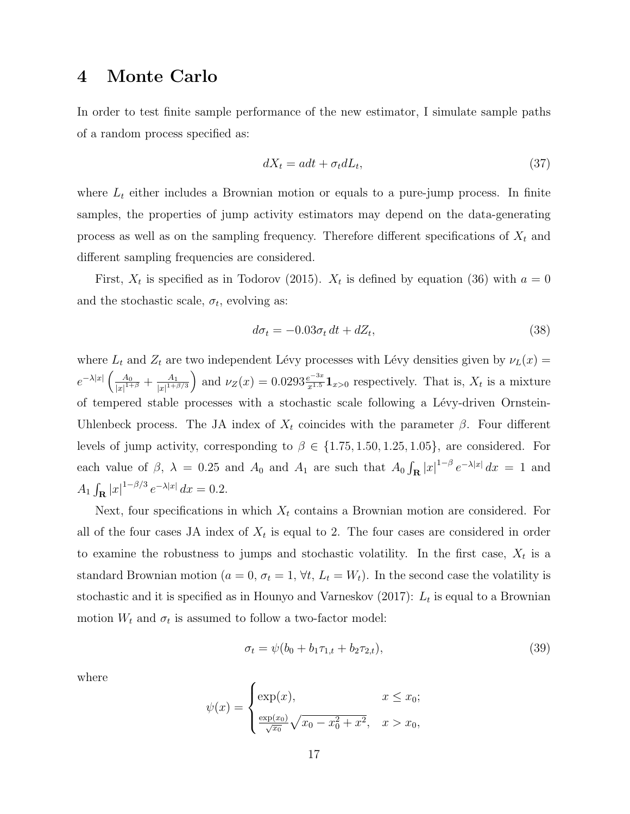## 4 Monte Carlo

In order to test finite sample performance of the new estimator, I simulate sample paths of a random process specified as:

$$
dX_t = adt + \sigma_t dL_t,\tag{37}
$$

where  $L_t$  either includes a Brownian motion or equals to a pure-jump process. In finite samples, the properties of jump activity estimators may depend on the data-generating process as well as on the sampling frequency. Therefore different specifications of  $X_t$  and different sampling frequencies are considered.

First,  $X_t$  is specified as in Todorov (2015).  $X_t$  is defined by equation (36) with  $a = 0$ and the stochastic scale,  $\sigma_t$ , evolving as:

$$
d\sigma_t = -0.03\sigma_t dt + dZ_t, \qquad (38)
$$

where  $L_t$  and  $Z_t$  are two independent Lévy processes with Lévy densities given by  $\nu_L(x) =$  $e^{-\lambda|x|} \left( \frac{A_0}{\ln^{\frac{1}{1}+1}} \right)$  $\frac{A_0}{|x|^{1+\beta}} + \frac{A_1}{|x|^{1+\beta}}$  $\frac{A_1}{|x|^{1+\beta/3}}$  and  $\nu_Z(x) = 0.0293 \frac{e^{-3x}}{x^{1.5}} \mathbf{1}_{x>0}$  respectively. That is,  $X_t$  is a mixture of tempered stable processes with a stochastic scale following a Lévy-driven Ornstein-Uhlenbeck process. The JA index of  $X_t$  coincides with the parameter  $\beta$ . Four different levels of jump activity, corresponding to  $\beta \in \{1.75, 1.50, 1.25, 1.05\}$ , are considered. For each value of  $\beta$ ,  $\lambda = 0.25$  and  $A_0$  and  $A_1$  are such that  $A_0 \int_{\mathbf{R}} |x|^{1-\beta} e^{-\lambda |x|} dx = 1$  and  $A_1 \int_{\mathbf{R}} |x|^{1-\beta/3} e^{-\lambda |x|} dx = 0.2.$ 

Next, four specifications in which  $X_t$  contains a Brownian motion are considered. For all of the four cases JA index of  $X_t$  is equal to 2. The four cases are considered in order to examine the robustness to jumps and stochastic volatility. In the first case,  $X_t$  is a standard Brownian motion ( $a = 0$ ,  $\sigma_t = 1$ ,  $\forall t$ ,  $L_t = W_t$ ). In the second case the volatility is stochastic and it is specified as in Hounyo and Varneskov (2017):  $L_t$  is equal to a Brownian motion  $W_t$  and  $\sigma_t$  is assumed to follow a two-factor model:

$$
\sigma_t = \psi(b_0 + b_1 \tau_{1,t} + b_2 \tau_{2,t}), \tag{39}
$$

where

$$
\psi(x) = \begin{cases} \exp(x), & x \le x_0; \\ \frac{\exp(x_0)}{\sqrt{x_0}} \sqrt{x_0 - x_0^2 + x^2}, & x > x_0, \end{cases}
$$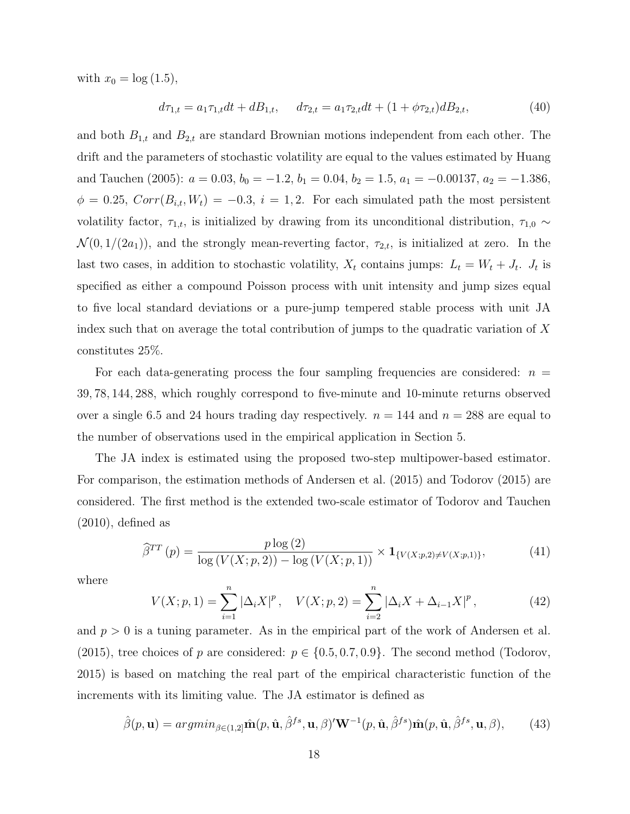with  $x_0 = \log(1.5)$ ,

$$
d\tau_{1,t} = a_1 \tau_{1,t} dt + dB_{1,t}, \quad d\tau_{2,t} = a_1 \tau_{2,t} dt + (1 + \phi \tau_{2,t}) dB_{2,t}, \tag{40}
$$

and both  $B_{1,t}$  and  $B_{2,t}$  are standard Brownian motions independent from each other. The drift and the parameters of stochastic volatility are equal to the values estimated by Huang and Tauchen (2005):  $a = 0.03$ ,  $b_0 = -1.2$ ,  $b_1 = 0.04$ ,  $b_2 = 1.5$ ,  $a_1 = -0.00137$ ,  $a_2 = -1.386$ ,  $\phi = 0.25$ ,  $Corr(B_{i,t}, W_t) = -0.3$ ,  $i = 1, 2$ . For each simulated path the most persistent volatility factor,  $\tau_{1,t}$ , is initialized by drawing from its unconditional distribution,  $\tau_{1,0} \sim$  $\mathcal{N}(0, 1/(2a_1))$ , and the strongly mean-reverting factor,  $\tau_{2,t}$ , is initialized at zero. In the last two cases, in addition to stochastic volatility,  $X_t$  contains jumps:  $L_t = W_t + J_t$ .  $J_t$  is specified as either a compound Poisson process with unit intensity and jump sizes equal to five local standard deviations or a pure-jump tempered stable process with unit JA index such that on average the total contribution of jumps to the quadratic variation of  $X$ constitutes 25%.

For each data-generating process the four sampling frequencies are considered:  $n =$ 39, 78, 144, 288, which roughly correspond to five-minute and 10-minute returns observed over a single 6.5 and 24 hours trading day respectively.  $n = 144$  and  $n = 288$  are equal to the number of observations used in the empirical application in Section 5.

The JA index is estimated using the proposed two-step multipower-based estimator. For comparison, the estimation methods of Andersen et al. (2015) and Todorov (2015) are considered. The first method is the extended two-scale estimator of Todorov and Tauchen  $(2010)$ , defined as

$$
\widehat{\beta}^{TT}(p) = \frac{p \log(2)}{\log(V(X;p,2)) - \log(V(X;p,1))} \times \mathbf{1}_{\{V(X;p,2) \neq V(X;p,1)\}},\tag{41}
$$

where

$$
V(X; p, 1) = \sum_{i=1}^{n} |\Delta_i X|^p, \quad V(X; p, 2) = \sum_{i=2}^{n} |\Delta_i X + \Delta_{i-1} X|^p,
$$
 (42)

and  $p > 0$  is a tuning parameter. As in the empirical part of the work of Andersen et al. (2015), tree choices of p are considered:  $p \in \{0.5, 0.7, 0.9\}$ . The second method (Todorov, 2015) is based on matching the real part of the empirical characteristic function of the increments with its limiting value. The JA estimator is defined as

$$
\hat{\beta}(p, \mathbf{u}) = \operatorname{argmin}_{\beta \in (1,2]} \hat{\mathbf{m}}(p, \hat{\mathbf{u}}, \hat{\beta}^{fs}, \mathbf{u}, \beta)' \mathbf{W}^{-1}(p, \hat{\mathbf{u}}, \hat{\beta}^{fs}) \hat{\mathbf{m}}(p, \hat{\mathbf{u}}, \hat{\beta}^{fs}, \mathbf{u}, \beta),
$$
(43)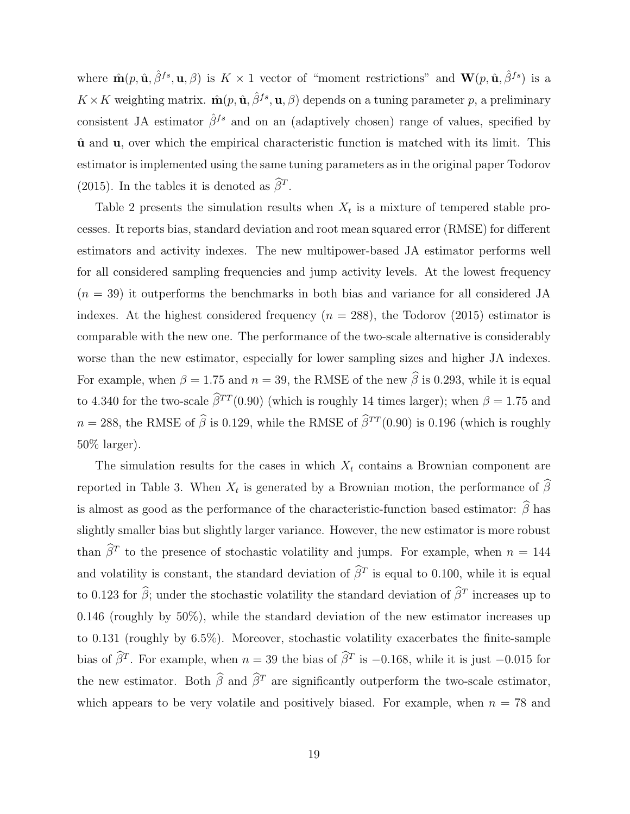where  $\hat{\mathbf{m}}(p, \hat{\mathbf{u}}, \hat{\beta}^{fs}, \mathbf{u}, \beta)$  is  $K \times 1$  vector of "moment restrictions" and  $\mathbf{W}(p, \hat{\mathbf{u}}, \hat{\beta}^{fs})$  is a  $K \times K$  weighting matrix.  $\hat{\mathbf{m}}(p, \hat{\mathbf{u}}, \hat{\beta}^{fs}, \mathbf{u}, \beta)$  depends on a tuning parameter p, a preliminary consistent JA estimator  $\hat{\beta}^{fs}$  and on an (adaptively chosen) range of values, specified by  $\hat{u}$  and  $u$ , over which the empirical characteristic function is matched with its limit. This estimator is implemented using the same tuning parameters as in the original paper Todorov (2015). In the tables it is denoted as  $\widehat{\beta}^T$ .

Table 2 presents the simulation results when  $X_t$  is a mixture of tempered stable processes. It reports bias, standard deviation and root mean squared error (RMSE) for different estimators and activity indexes. The new multipower-based JA estimator performs well for all considered sampling frequencies and jump activity levels. At the lowest frequency  $(n = 39)$  it outperforms the benchmarks in both bias and variance for all considered JA indexes. At the highest considered frequency  $(n = 288)$ , the Todorov (2015) estimator is comparable with the new one. The performance of the two-scale alternative is considerably worse than the new estimator, especially for lower sampling sizes and higher JA indexes. For example, when  $\beta = 1.75$  and  $n = 39$ , the RMSE of the new  $\hat{\beta}$  is 0.293, while it is equal to 4.340 for the two-scale  $\hat{\beta}^{TT} (0.90)$  (which is roughly 14 times larger); when  $\beta = 1.75$  and  $n = 288$ , the RMSE of  $\hat{\beta}$  is 0.129, while the RMSE of  $\hat{\beta}^{TT} (0.90)$  is 0.196 (which is roughly 50% larger).

The simulation results for the cases in which  $X_t$  contains a Brownian component are reported in Table 3. When  $X_t$  is generated by a Brownian motion, the performance of  $\beta$ is almost as good as the performance of the characteristic-function based estimator:  $\widehat{\beta}$  has slightly smaller bias but slightly larger variance. However, the new estimator is more robust than  $\hat{\beta}^T$  to the presence of stochastic volatility and jumps. For example, when  $n = 144$ and volatility is constant, the standard deviation of  $\beta^T$  is equal to 0.100, while it is equal to 0.123 for  $\hat{\beta}$ ; under the stochastic volatility the standard deviation of  $\hat{\beta}^T$  increases up to 0.146 (roughly by  $50\%$ ), while the standard deviation of the new estimator increases up to 0.131 (roughly by 6.5%). Moreover, stochastic volatility exacerbates the finite-sample bias of  $\hat{\beta}^T$ . For example, when  $n = 39$  the bias of  $\hat{\beta}^T$  is  $-0.168$ , while it is just  $-0.015$  for the new estimator. Both  $\widehat{\beta}$  and  $\widehat{\beta}^T$  are significantly outperform the two-scale estimator, which appears to be very volatile and positively biased. For example, when  $n = 78$  and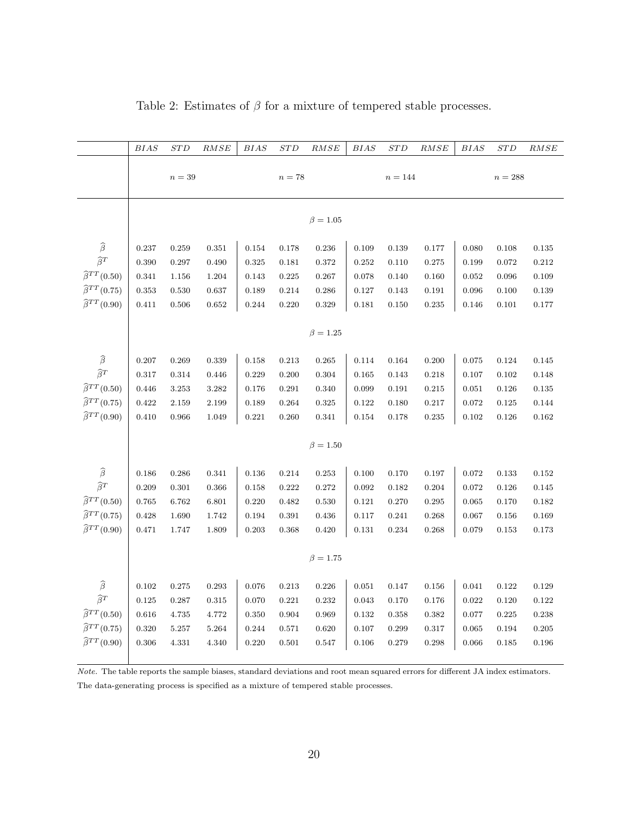|                              | BIAS             | STD       | RMSE      | <i>BIAS</i> | STD   | RMSE           | BIAS        | $_{STD}$    | RMSE  | $BIAS$      | STD     | RMSE  |
|------------------------------|------------------|-----------|-----------|-------------|-------|----------------|-------------|-------------|-------|-------------|---------|-------|
|                              | $n=39$<br>$n=78$ |           |           |             |       |                | $n = 144$   |             |       |             | $n=288$ |       |
|                              |                  |           |           |             |       |                |             |             |       |             |         |       |
|                              |                  |           |           |             |       | $\beta = 1.05$ |             |             |       |             |         |       |
|                              |                  |           |           |             |       |                |             |             |       |             |         |       |
| $\widehat{\beta}$            | 0.237            | 0.259     | 0.351     | 0.154       | 0.178 | 0.236          | 0.109       | 0.139       | 0.177 | 0.080       | 0.108   | 0.135 |
| $\widehat{\beta}^T$          | 0.390            | 0.297     | 0.490     | 0.325       | 0.181 | 0.372          | 0.252       | 0.110       | 0.275 | 0.199       | 0.072   | 0.212 |
| $\widehat{\beta}^{TT}(0.50)$ | 0.341            | $1.156\,$ | 1.204     | 0.143       | 0.225 | 0.267          | 0.078       | 0.140       | 0.160 | 0.052       | 0.096   | 0.109 |
| $\widehat{\beta}^{TT}(0.75)$ | 0.353            | 0.530     | 0.637     | 0.189       | 0.214 | 0.286          | 0.127       | 0.143       | 0.191 | 0.096       | 0.100   | 0.139 |
| $\widehat{\beta}^{TT}(0.90)$ | 0.411            | 0.506     | 0.652     | 0.244       | 0.220 | 0.329          | 0.181       | 0.150       | 0.235 | 0.146       | 0.101   | 0.177 |
|                              |                  |           |           |             |       | $\beta = 1.25$ |             |             |       |             |         |       |
|                              |                  |           |           |             |       |                |             |             |       |             |         |       |
| $\widehat{\beta}$            | 0.207            | 0.269     | 0.339     | 0.158       | 0.213 | 0.265          | 0.114       | $\,0.164\,$ | 0.200 | $\,0.075\,$ | 0.124   | 0.145 |
| $\widehat{\beta}^T$          | 0.317            | 0.314     | 0.446     | 0.229       | 0.200 | 0.304          | 0.165       | 0.143       | 0.218 | 0.107       | 0.102   | 0.148 |
| $\widehat{\beta}^{TT}(0.50)$ | 0.446            | $3.253\,$ | $3.282\,$ | 0.176       | 0.291 | 0.340          | 0.099       | 0.191       | 0.215 | $\,0.051\,$ | 0.126   | 0.135 |
| $\widehat{\beta}^{TT}(0.75)$ | 0.422            | 2.159     | 2.199     | 0.189       | 0.264 | 0.325          | 0.122       | 0.180       | 0.217 | 0.072       | 0.125   | 0.144 |
| $\widehat{\beta}^{TT}(0.90)$ | 0.410            | 0.966     | 1.049     | 0.221       | 0.260 | 0.341          | 0.154       | 0.178       | 0.235 | $\rm 0.102$ | 0.126   | 0.162 |
|                              |                  |           |           |             |       | $\beta = 1.50$ |             |             |       |             |         |       |
|                              |                  |           |           |             |       |                |             |             |       |             |         |       |
| $\widehat{\beta}$            | 0.186            | 0.286     | 0.341     | 0.136       | 0.214 | 0.253          | 0.100       | 0.170       | 0.197 | 0.072       | 0.133   | 0.152 |
| $\widehat{\beta}^T$          | 0.209            | 0.301     | 0.366     | 0.158       | 0.222 | 0.272          | 0.092       | 0.182       | 0.204 | $\,0.072\,$ | 0.126   | 0.145 |
| $\widehat{\beta}^{TT}(0.50)$ | 0.765            | 6.762     | 6.801     | 0.220       | 0.482 | 0.530          | 0.121       | 0.270       | 0.295 | 0.065       | 0.170   | 0.182 |
| $\widehat{\beta}^{TT}(0.75)$ | 0.428            | 1.690     | 1.742     | 0.194       | 0.391 | 0.436          | 0.117       | 0.241       | 0.268 | $0.067\,$   | 0.156   | 0.169 |
| $\widehat{\beta}^{TT}(0.90)$ | 0.471            | 1.747     | 1.809     | 0.203       | 0.368 | 0.420          | 0.131       | 0.234       | 0.268 | 0.079       | 0.153   | 0.173 |
|                              |                  |           |           |             |       | $\beta = 1.75$ |             |             |       |             |         |       |
|                              |                  |           |           |             |       |                |             |             |       |             |         |       |
| $\widehat{\beta}$            | 0.102            | 0.275     | 0.293     | 0.076       | 0.213 | 0.226          | $\,0.051\,$ | 0.147       | 0.156 | 0.041       | 0.122   | 0.129 |
| $\widehat{\beta}^T$          | 0.125            | 0.287     | 0.315     | 0.070       | 0.221 | 0.232          | 0.043       | 0.170       | 0.176 | $\,0.022\,$ | 0.120   | 0.122 |
| $\widehat{\beta}^{TT}(0.50)$ | 0.616            | 4.735     | 4.772     | 0.350       | 0.904 | 0.969          | 0.132       | 0.358       | 0.382 | $0.077\,$   | 0.225   | 0.238 |
| $\widehat{\beta}^{TT}(0.75)$ | 0.320            | $5.257\,$ | 5.264     | 0.244       | 0.571 | 0.620          | 0.107       | 0.299       | 0.317 | $\,0.065\,$ | 0.194   | 0.205 |
| $\widehat{\beta}^{TT}(0.90)$ | 0.306            | 4.331     | 4.340     | 0.220       | 0.501 | 0.547          | 0.106       | 0.279       | 0.298 | 0.066       | 0.185   | 0.196 |
|                              |                  |           |           |             |       |                |             |             |       |             |         |       |

Table 2: Estimates of  $\beta$  for a mixture of tempered stable processes.

Note. The table reports the sample biases, standard deviations and root mean squared errors for different JA index estimators. The data-generating process is specified as a mixture of tempered stable processes.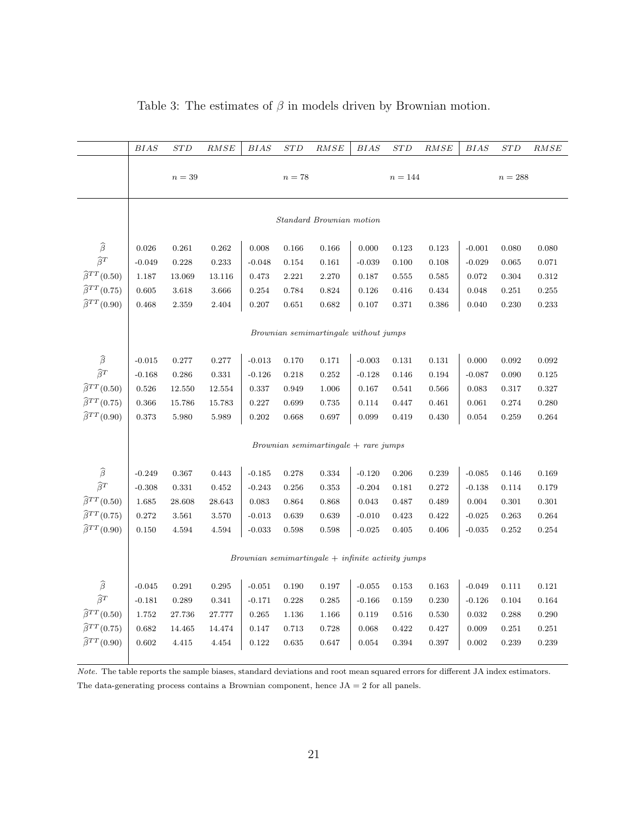|                              | <i>BIAS</i>                                         | <b>STD</b> | RMSE   | <i>BIAS</i> | STD         | RMSE                                  | BIAS        | <b>STD</b> | RMSE      | <i>BIAS</i> | $_{STD}$ | RMSE  |
|------------------------------|-----------------------------------------------------|------------|--------|-------------|-------------|---------------------------------------|-------------|------------|-----------|-------------|----------|-------|
|                              | $n=39$<br>$n=78$                                    |            |        |             | $n = 144$   |                                       |             |            | $n = 288$ |             |          |       |
|                              |                                                     |            |        |             |             | Standard Brownian motion              |             |            |           |             |          |       |
| $\widehat{\beta}$            | 0.026                                               | 0.261      | 0.262  | 0.008       | 0.166       | 0.166                                 | 0.000       | 0.123      | 0.123     | $-0.001$    | 0.080    | 0.080 |
| $\widehat{\beta}^T$          | $-0.049$                                            | 0.228      | 0.233  | $-0.048$    | 0.154       | 0.161                                 | $-0.039$    | 0.100      | 0.108     | $-0.029$    | 0.065    | 0.071 |
| $\widehat{\beta}^{TT}(0.50)$ | 1.187                                               | 13.069     | 13.116 | 0.473       | 2.221       | 2.270                                 | 0.187       | 0.555      | 0.585     | 0.072       | 0.304    | 0.312 |
| $\widehat{\beta}^{TT}(0.75)$ | 0.605                                               | 3.618      | 3.666  | 0.254       | 0.784       | 0.824                                 | 0.126       | 0.416      | 0.434     | 0.048       | 0.251    | 0.255 |
| $\widehat{\beta}^{TT}(0.90)$ | 0.468                                               | 2.359      | 2.404  | 0.207       | 0.651       | 0.682                                 | 0.107       | 0.371      | 0.386     | 0.040       | 0.230    | 0.233 |
|                              |                                                     |            |        |             |             | Brownian semimartingale without jumps |             |            |           |             |          |       |
| $\widehat{\beta}$            | $-0.015$                                            | 0.277      | 0.277  | $-0.013$    | 0.170       | 0.171                                 | $-0.003$    | 0.131      | 0.131     | 0.000       | 0.092    | 0.092 |
| $\widehat{\beta}^T$          | $-0.168$                                            | $0.286\,$  | 0.331  | $-0.126$    | 0.218       | 0.252                                 | $-0.128$    | 0.146      | 0.194     | $-0.087$    | 0.090    | 0.125 |
| $\widehat{\beta}^{TT}(0.50)$ | 0.526                                               | 12.550     | 12.554 | 0.337       | 0.949       | 1.006                                 | 0.167       | 0.541      | 0.566     | 0.083       | 0.317    | 0.327 |
| $\widehat{\beta}^{TT}(0.75)$ | 0.366                                               | 15.786     | 15.783 | 0.227       | 0.699       | 0.735                                 | 0.114       | 0.447      | 0.461     | 0.061       | 0.274    | 0.280 |
| $\widehat{\beta}^{TT}(0.90)$ | 0.373                                               | 5.980      | 5.989  | $0.202\,$   | 0.668       | 0.697                                 | 0.099       | 0.419      | 0.430     | 0.054       | 0.259    | 0.264 |
|                              |                                                     |            |        |             |             | $Brownian\ semimartale + rare\ jumps$ |             |            |           |             |          |       |
| $\widehat{\beta}$            | $-0.249$                                            | 0.367      | 0.443  | $-0.185$    | 0.278       | 0.334                                 | $-0.120$    | 0.206      | 0.239     | $-0.085$    | 0.146    | 0.169 |
| $\widehat{\beta}^T$          | $-0.308$                                            | 0.331      | 0.452  | $-0.243$    | 0.256       | 0.353                                 | $-0.204$    | 0.181      | 0.272     | $-0.138$    | 0.114    | 0.179 |
| $\widehat{\beta}^{TT}(0.50)$ | $1.685\,$                                           | 28.608     | 28.643 | $\,0.083\,$ | 0.864       | 0.868                                 | $\,0.043\,$ | 0.487      | 0.489     | 0.004       | 0.301    | 0.301 |
| $\widehat{\beta}^{TT}(0.75)$ | 0.272                                               | 3.561      | 3.570  | $-0.013$    | 0.639       | 0.639                                 | $-0.010$    | 0.423      | 0.422     | $-0.025$    | 0.263    | 0.264 |
| $\widehat{\beta}^{TT}(0.90)$ | 0.150                                               | 4.594      | 4.594  | $-0.033$    | $\,0.598\,$ | 0.598                                 | $-0.025$    | 0.405      | 0.406     | $-0.035$    | 0.252    | 0.254 |
|                              |                                                     |            |        |             |             |                                       |             |            |           |             |          |       |
|                              | $Brownian\ semimartale + infinite\ activity\ jumps$ |            |        |             |             |                                       |             |            |           |             |          |       |
| $\widehat{\beta}$            | $-0.045$                                            | 0.291      | 0.295  | $-0.051$    | 0.190       | 0.197                                 | $-0.055$    | 0.153      | 0.163     | $-0.049$    | 0.111    | 0.121 |
| $\widehat{\beta}^T$          | $-0.181$                                            | 0.289      | 0.341  | $-0.171$    | 0.228       | 0.285                                 | $-0.166$    | 0.159      | 0.230     | $-0.126$    | 0.104    | 0.164 |
| $\widehat{\beta}^{TT}(0.50)$ | $1.752\,$                                           | 27.736     | 27.777 | 0.265       | 1.136       | 1.166                                 | 0.119       | 0.516      | 0.530     | 0.032       | 0.288    | 0.290 |
| $\widehat{\beta}^{TT}(0.75)$ | 0.682                                               | 14.465     | 14.474 | 0.147       | 0.713       | 0.728                                 | 0.068       | 0.422      | 0.427     | 0.009       | 0.251    | 0.251 |
| $\widehat{\beta}^{TT}(0.90)$ | 0.602                                               | 4.415      | 4.454  | 0.122       | 0.635       | 0.647                                 | 0.054       | 0.394      | 0.397     | 0.002       | 0.239    | 0.239 |
|                              |                                                     |            |        |             |             |                                       |             |            |           |             |          |       |

Table 3: The estimates of  $\beta$  in models driven by Brownian motion.

Note. The table reports the sample biases, standard deviations and root mean squared errors for different JA index estimators. The data-generating process contains a Brownian component, hence  $JA = 2$  for all panels.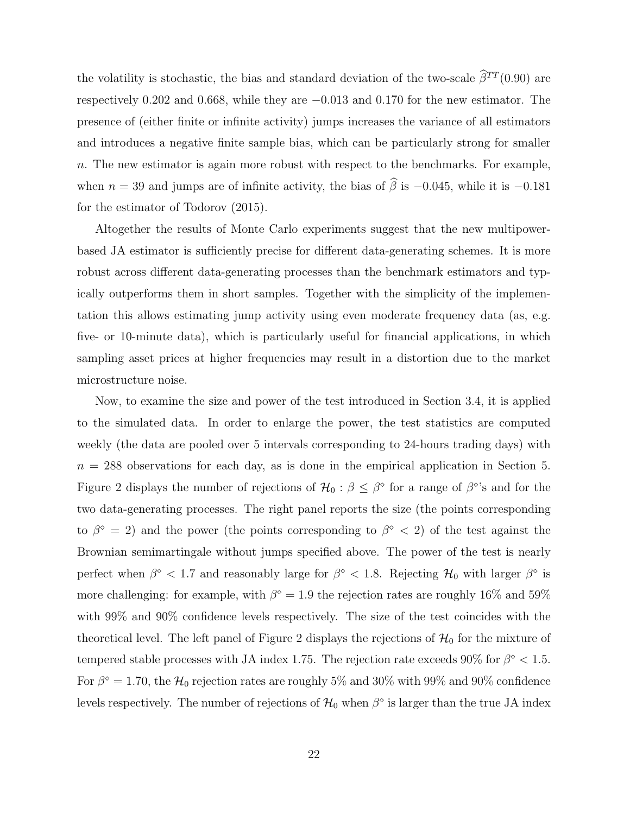the volatility is stochastic, the bias and standard deviation of the two-scale  $\hat{\beta}^{TT} (0.90)$  are respectively 0.202 and 0.668, while they are −0.013 and 0.170 for the new estimator. The presence of (either finite or infinite activity) jumps increases the variance of all estimators and introduces a negative finite sample bias, which can be particularly strong for smaller  $n.$  The new estimator is again more robust with respect to the benchmarks. For example, when  $n = 39$  and jumps are of infinite activity, the bias of  $\hat{\beta}$  is −0.045, while it is −0.181 for the estimator of Todorov (2015).

Altogether the results of Monte Carlo experiments suggest that the new multipowerbased JA estimator is sufficiently precise for different data-generating schemes. It is more robust across different data-generating processes than the benchmark estimators and typically outperforms them in short samples. Together with the simplicity of the implementation this allows estimating jump activity using even moderate frequency data (as, e.g. five- or 10-minute data), which is particularly useful for financial applications, in which sampling asset prices at higher frequencies may result in a distortion due to the market microstructure noise.

Now, to examine the size and power of the test introduced in Section 3.4, it is applied to the simulated data. In order to enlarge the power, the test statistics are computed weekly (the data are pooled over 5 intervals corresponding to 24-hours trading days) with  $n = 288$  observations for each day, as is done in the empirical application in Section 5. Figure 2 displays the number of rejections of  $\mathcal{H}_0: \beta \leq \beta^{\circ}$  for a range of  $\beta^{\circ}$ 's and for the two data-generating processes. The right panel reports the size (the points corresponding to  $\beta^{\circ} = 2$ ) and the power (the points corresponding to  $\beta^{\circ} < 2$ ) of the test against the Brownian semimartingale without jumps specified above. The power of the test is nearly perfect when  $\beta^{\circ}$  < 1.7 and reasonably large for  $\beta^{\circ}$  < 1.8. Rejecting  $\mathcal{H}_0$  with larger  $\beta^{\circ}$  is more challenging: for example, with  $\beta^{\circ} = 1.9$  the rejection rates are roughly 16% and 59% with 99% and 90% confidence levels respectively. The size of the test coincides with the theoretical level. The left panel of Figure 2 displays the rejections of  $\mathcal{H}_0$  for the mixture of tempered stable processes with JA index 1.75. The rejection rate exceeds 90% for  $\beta^{\circ} < 1.5$ . For  $\beta^{\circ} = 1.70$ , the  $\mathcal{H}_0$  rejection rates are roughly 5% and 30% with 99% and 90% confidence levels respectively. The number of rejections of  $\mathcal{H}_0$  when  $\beta^{\diamond}$  is larger than the true JA index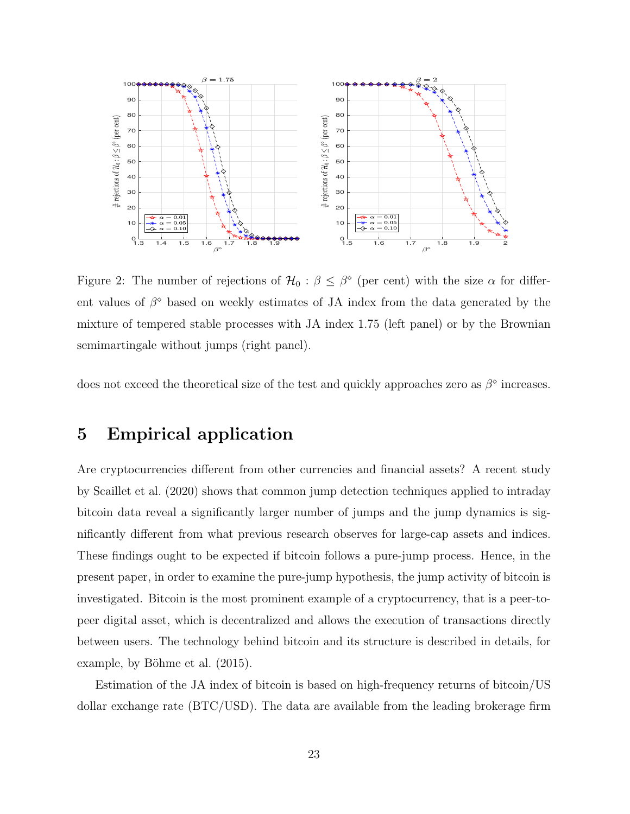

Figure 2: The number of rejections of  $\mathcal{H}_0: \beta \leq \beta^{\circ}$  (per cent) with the size  $\alpha$  for different values of  $\beta^{\circ}$  based on weekly estimates of JA index from the data generated by the mixture of tempered stable processes with JA index 1.75 (left panel) or by the Brownian semimartingale without jumps (right panel).

does not exceed the theoretical size of the test and quickly approaches zero as  $\beta^{\circ}$  increases.

# 5 Empirical application

Are cryptocurrencies different from other currencies and financial assets? A recent study by Scaillet et al. (2020) shows that common jump detection techniques applied to intraday bitcoin data reveal a significantly larger number of jumps and the jump dynamics is significantly different from what previous research observes for large-cap assets and indices. These findings ought to be expected if bitcoin follows a pure-jump process. Hence, in the present paper, in order to examine the pure-jump hypothesis, the jump activity of bitcoin is investigated. Bitcoin is the most prominent example of a cryptocurrency, that is a peer-topeer digital asset, which is decentralized and allows the execution of transactions directly between users. The technology behind bitcoin and its structure is described in details, for example, by Böhme et al.  $(2015)$ .

Estimation of the JA index of bitcoin is based on high-frequency returns of bitcoin/US dollar exchange rate (BTC/USD). The data are available from the leading brokerage firm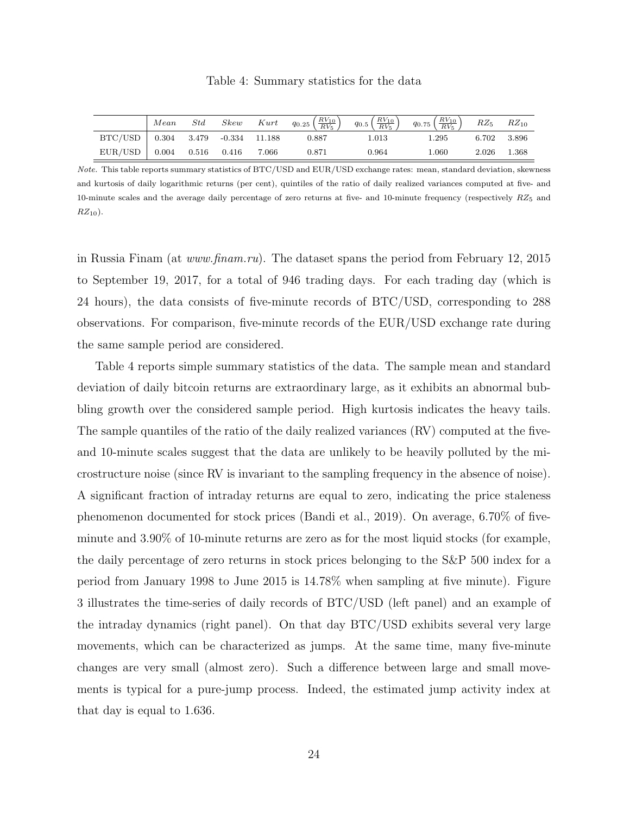|                                       | Mean | Std |  | Skew Kurt $q_{0.25} \left( \frac{RV_{10}}{RV_5} \right)$ $q_{0.5} \left( \frac{RV_{10}}{RV_5} \right)$ $q_{0.75} \left( \frac{RV_{10}}{RV_5} \right)$ $RZ_5$ $RZ_{10}$ |       |       |             |  |
|---------------------------------------|------|-----|--|------------------------------------------------------------------------------------------------------------------------------------------------------------------------|-------|-------|-------------|--|
| $BTC/USD$   0.304 3.479 -0.334 11.188 |      |     |  | 0.887                                                                                                                                                                  | 1.013 | 1.295 | 6.702 3.896 |  |
| $EUR/USD$   0.004 0.516 0.416 7.066   |      |     |  | 0.871                                                                                                                                                                  | 0.964 | 1.060 | 2.026 1.368 |  |

Table 4: Summary statistics for the data

Note. This table reports summary statistics of BTC/USD and EUR/USD exchange rates: mean, standard deviation, skewness and kurtosis of daily logarithmic returns (per cent), quintiles of the ratio of daily realized variances computed at five- and 10-minute scales and the average daily percentage of zero returns at five- and 10-minute frequency (respectively  $RZ_5$  and  $RZ_{10}$ ).

in Russia Finam (at www.finam.ru). The dataset spans the period from February 12, 2015 to September 19, 2017, for a total of 946 trading days. For each trading day (which is 24 hours), the data consists of five-minute records of BTC/USD, corresponding to 288 observations. For comparison, five-minute records of the EUR/USD exchange rate during the same sample period are considered.

Table 4 reports simple summary statistics of the data. The sample mean and standard deviation of daily bitcoin returns are extraordinary large, as it exhibits an abnormal bubbling growth over the considered sample period. High kurtosis indicates the heavy tails. The sample quantiles of the ratio of the daily realized variances (RV) computed at the fiveand 10-minute scales suggest that the data are unlikely to be heavily polluted by the microstructure noise (since RV is invariant to the sampling frequency in the absence of noise). A significant fraction of intraday returns are equal to zero, indicating the price staleness phenomenon documented for stock prices (Bandi et al., 2019). On average, 6.70% of fiveminute and 3.90% of 10-minute returns are zero as for the most liquid stocks (for example, the daily percentage of zero returns in stock prices belonging to the S&P 500 index for a period from January 1998 to June 2015 is 14.78% when sampling at five minute). Figure 3 illustrates the time-series of daily records of BTC/USD (left panel) and an example of the intraday dynamics (right panel). On that day BTC/USD exhibits several very large movements, which can be characterized as jumps. At the same time, many five-minute changes are very small (almost zero). Such a difference between large and small movements is typical for a pure-jump process. Indeed, the estimated jump activity index at that day is equal to 1.636.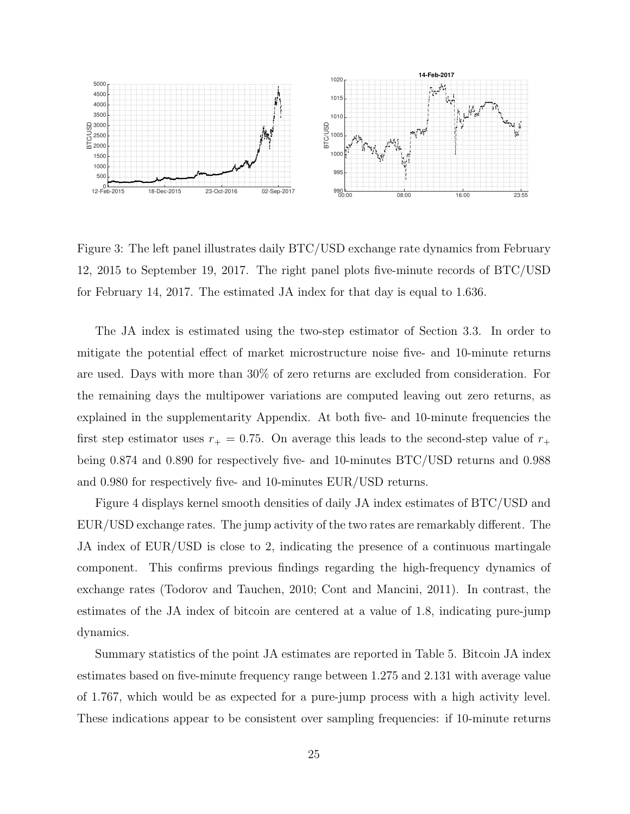

Figure 3: The left panel illustrates daily BTC/USD exchange rate dynamics from February 12, 2015 to September 19, 2017. The right panel plots five-minute records of BTC/USD for February 14, 2017. The estimated JA index for that day is equal to 1.636.

The JA index is estimated using the two-step estimator of Section 3.3. In order to mitigate the potential effect of market microstructure noise five- and 10-minute returns are used. Days with more than 30% of zero returns are excluded from consideration. For the remaining days the multipower variations are computed leaving out zero returns, as explained in the supplementarity Appendix. At both five- and 10-minute frequencies the first step estimator uses  $r_+ = 0.75$ . On average this leads to the second-step value of  $r_+$ being 0.874 and 0.890 for respectively five- and 10-minutes BTC/USD returns and 0.988 and 0.980 for respectively five- and 10-minutes EUR/USD returns.

Figure 4 displays kernel smooth densities of daily JA index estimates of BTC/USD and EUR/USD exchange rates. The jump activity of the two rates are remarkably different. The JA index of EUR/USD is close to 2, indicating the presence of a continuous martingale component. This confirms previous findings regarding the high-frequency dynamics of exchange rates (Todorov and Tauchen, 2010; Cont and Mancini, 2011). In contrast, the estimates of the JA index of bitcoin are centered at a value of 1.8, indicating pure-jump dynamics.

Summary statistics of the point JA estimates are reported in Table 5. Bitcoin JA index estimates based on five-minute frequency range between 1.275 and 2.131 with average value of 1.767, which would be as expected for a pure-jump process with a high activity level. These indications appear to be consistent over sampling frequencies: if 10-minute returns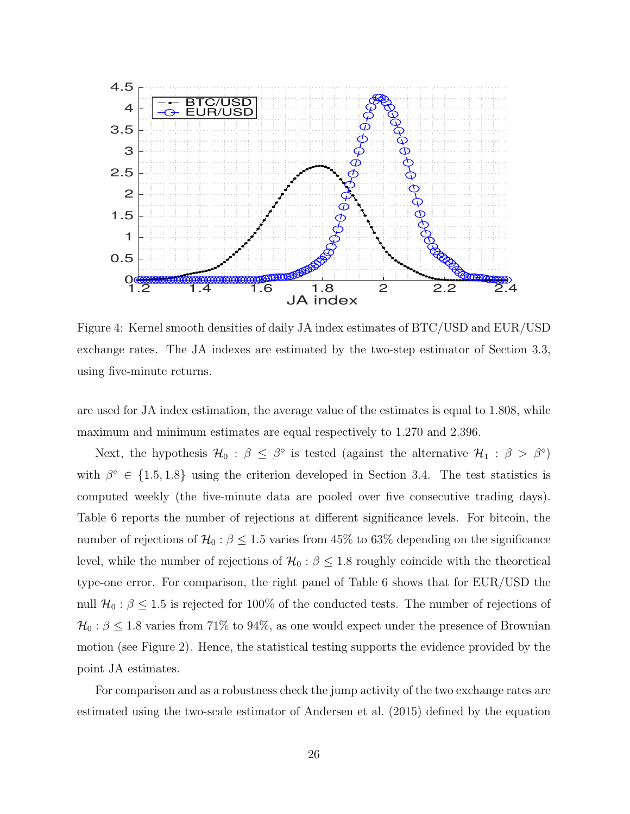

Figure 4: Kernel smooth densities of daily JA index estimates of BTC/USD and EUR/USD exchange rates. The JA indexes are estimated by the two-step estimator of Section 3.3, using five-minute returns.

are used for JA index estimation, the average value of the estimates is equal to 1.808, while maximum and minimum estimates are equal respectively to 1.270 and 2.396.

Next, the hypothesis  $\mathcal{H}_0$ :  $\beta \leq \beta^{\circ}$  is tested (against the alternative  $\mathcal{H}_1$ :  $\beta > \beta^{\circ}$ ) with  $\beta^{\circ} \in \{1.5, 1.8\}$  using the criterion developed in Section 3.4. The test statistics is computed weekly (the five-minute data are pooled over five consecutive trading days). Table 6 reports the number of rejections at different significance levels. For bitcoin, the number of rejections of  $\mathcal{H}_0$  :  $\beta \leq 1.5$  varies from 45% to 63% depending on the significance level, while the number of rejections of  $\mathcal{H}_0$  :  $\beta \leq 1.8$  roughly coincide with the theoretical type-one error. For comparison, the right panel of Table 6 shows that for EUR/USD the null  $\mathcal{H}_0$ :  $\beta \leq 1.5$  is rejected for 100% of the conducted tests. The number of rejections of  $\mathcal{H}_0$ :  $\beta \leq 1.8$  varies from 71% to 94%, as one would expect under the presence of Brownian motion (see Figure 2). Hence, the statistical testing supports the evidence provided by the point JA estimates.

For comparison and as a robustness check the jump activity of the two exchange rates are estimated using the two-scale estimator of Andersen et al. (2015) defined by the equation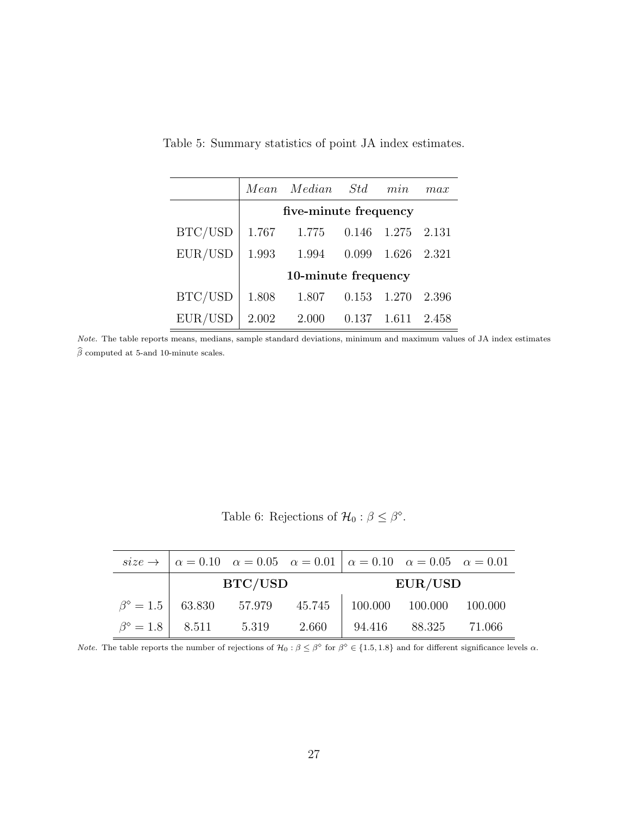|         |       | Mean Median Std       |       | min   | max   |
|---------|-------|-----------------------|-------|-------|-------|
|         |       | five-minute frequency |       |       |       |
| BTC/USD | 1.767 | 1.775                 | 0.146 | 1.275 | 2.131 |
| EUR/USD | 1.993 | 1.994                 | 0.099 | 1.626 | 2.321 |
|         |       | 10-minute frequency   |       |       |       |
| BTC/USD | 1.808 | 1.807                 | 0.153 | 1.270 | 2.396 |
| EUR/USD | 2.002 | 2.000                 | 0.137 | 1.611 | 2.458 |

Table 5: Summary statistics of point JA index estimates.

Note. The table reports means, medians, sample standard deviations, minimum and maximum values of JA index estimates  $\widehat{\beta}$  computed at 5-and 10-minute scales.

Table 6: Rejections of  $\mathcal{H}_0: \beta \leq \beta^{\circ}$ .

|  |                                           | $size \rightarrow  \alpha = 0.10 \alpha = 0.05 \alpha = 0.01  \alpha = 0.10 \alpha = 0.05 \alpha = 0.01$ |                            |  |  |  |  |
|--|-------------------------------------------|----------------------------------------------------------------------------------------------------------|----------------------------|--|--|--|--|
|  | BTC/USD                                   |                                                                                                          | EUR/USD                    |  |  |  |  |
|  |                                           | $\beta^{\circ} = 1.5$ 63.830 57.979 45.745 100.000 100.000 100.000                                       |                            |  |  |  |  |
|  | $\beta^{\circ} = 1.8$   8.511 5.319 2.660 |                                                                                                          | $94.416$ $88.325$ $71.066$ |  |  |  |  |

*Note.* The table reports the number of rejections of  $\mathcal{H}_0 : \beta \leq \beta^{\circ}$  for  $\beta^{\circ} \in \{1.5, 1.8\}$  and for different significance levels  $\alpha$ .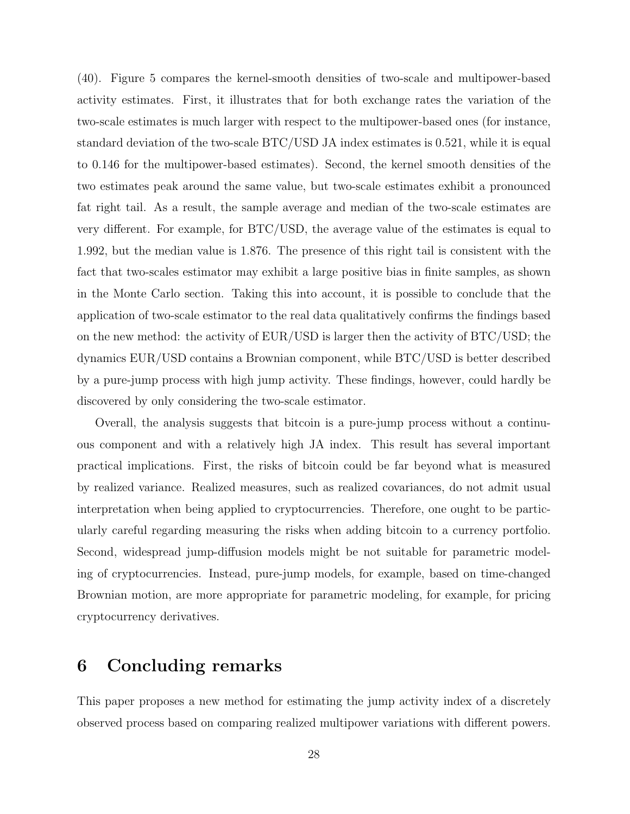(40). Figure 5 compares the kernel-smooth densities of two-scale and multipower-based activity estimates. First, it illustrates that for both exchange rates the variation of the two-scale estimates is much larger with respect to the multipower-based ones (for instance, standard deviation of the two-scale BTC/USD JA index estimates is 0.521, while it is equal to 0.146 for the multipower-based estimates). Second, the kernel smooth densities of the two estimates peak around the same value, but two-scale estimates exhibit a pronounced fat right tail. As a result, the sample average and median of the two-scale estimates are very different. For example, for BTC/USD, the average value of the estimates is equal to 1.992, but the median value is 1.876. The presence of this right tail is consistent with the fact that two-scales estimator may exhibit a large positive bias in finite samples, as shown in the Monte Carlo section. Taking this into account, it is possible to conclude that the application of two-scale estimator to the real data qualitatively confirms the findings based on the new method: the activity of EUR/USD is larger then the activity of BTC/USD; the dynamics EUR/USD contains a Brownian component, while BTC/USD is better described by a pure-jump process with high jump activity. These findings, however, could hardly be discovered by only considering the two-scale estimator.

Overall, the analysis suggests that bitcoin is a pure-jump process without a continuous component and with a relatively high JA index. This result has several important practical implications. First, the risks of bitcoin could be far beyond what is measured by realized variance. Realized measures, such as realized covariances, do not admit usual interpretation when being applied to cryptocurrencies. Therefore, one ought to be particularly careful regarding measuring the risks when adding bitcoin to a currency portfolio. Second, widespread jump-diffusion models might be not suitable for parametric modeling of cryptocurrencies. Instead, pure-jump models, for example, based on time-changed Brownian motion, are more appropriate for parametric modeling, for example, for pricing cryptocurrency derivatives.

## 6 Concluding remarks

This paper proposes a new method for estimating the jump activity index of a discretely observed process based on comparing realized multipower variations with different powers.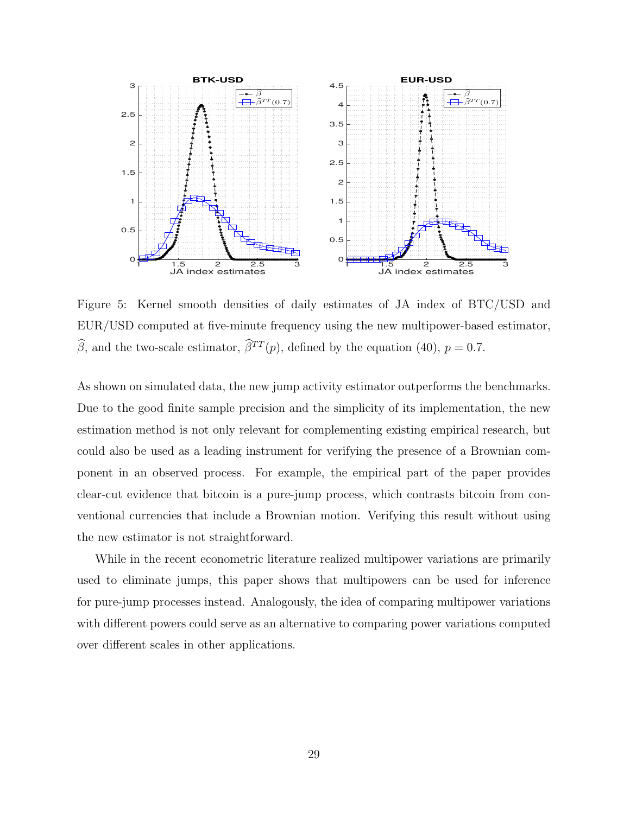

Figure 5: Kernel smooth densities of daily estimates of JA index of BTC/USD and EUR/USD computed at five-minute frequency using the new multipower-based estimator,  $\widehat{\beta}$ , and the two-scale estimator,  $\widehat{\beta}^{TT}(p)$ , defined by the equation (40),  $p = 0.7$ .

As shown on simulated data, the new jump activity estimator outperforms the benchmarks. Due to the good finite sample precision and the simplicity of its implementation, the new estimation method is not only relevant for complementing existing empirical research, but could also be used as a leading instrument for verifying the presence of a Brownian component in an observed process. For example, the empirical part of the paper provides clear-cut evidence that bitcoin is a pure-jump process, which contrasts bitcoin from conventional currencies that include a Brownian motion. Verifying this result without using the new estimator is not straightforward.

While in the recent econometric literature realized multipower variations are primarily used to eliminate jumps, this paper shows that multipowers can be used for inference for pure-jump processes instead. Analogously, the idea of comparing multipower variations with different powers could serve as an alternative to comparing power variations computed over different scales in other applications.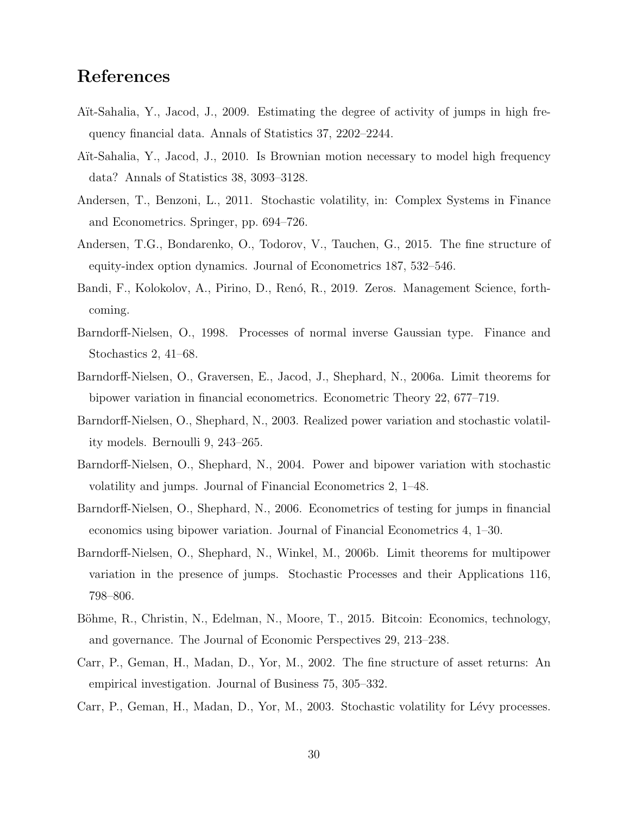# References

- Aït-Sahalia, Y., Jacod, J., 2009. Estimating the degree of activity of jumps in high frequency financial data. Annals of Statistics 37, 2202–2244.
- Aït-Sahalia, Y., Jacod, J., 2010. Is Brownian motion necessary to model high frequency data? Annals of Statistics 38, 3093–3128.
- Andersen, T., Benzoni, L., 2011. Stochastic volatility, in: Complex Systems in Finance and Econometrics. Springer, pp. 694–726.
- Andersen, T.G., Bondarenko, O., Todorov, V., Tauchen, G., 2015. The fine structure of equity-index option dynamics. Journal of Econometrics 187, 532–546.
- Bandi, F., Kolokolov, A., Pirino, D., Renó, R., 2019. Zeros. Management Science, forthcoming.
- Barndorff-Nielsen, O., 1998. Processes of normal inverse Gaussian type. Finance and Stochastics 2, 41–68.
- Barndorff-Nielsen, O., Graversen, E., Jacod, J., Shephard, N., 2006a. Limit theorems for bipower variation in financial econometrics. Econometric Theory 22, 677–719.
- Barndorff-Nielsen, O., Shephard, N., 2003. Realized power variation and stochastic volatility models. Bernoulli 9, 243–265.
- Barndorff-Nielsen, O., Shephard, N., 2004. Power and bipower variation with stochastic volatility and jumps. Journal of Financial Econometrics 2, 1–48.
- Barndorff-Nielsen, O., Shephard, N., 2006. Econometrics of testing for jumps in financial economics using bipower variation. Journal of Financial Econometrics 4, 1–30.
- Barndorff-Nielsen, O., Shephard, N., Winkel, M., 2006b. Limit theorems for multipower variation in the presence of jumps. Stochastic Processes and their Applications 116, 798–806.
- Böhme, R., Christin, N., Edelman, N., Moore, T., 2015. Bitcoin: Economics, technology, and governance. The Journal of Economic Perspectives 29, 213–238.
- Carr, P., Geman, H., Madan, D., Yor, M., 2002. The fine structure of asset returns: An empirical investigation. Journal of Business 75, 305–332.
- Carr, P., Geman, H., Madan, D., Yor, M., 2003. Stochastic volatility for Lévy processes.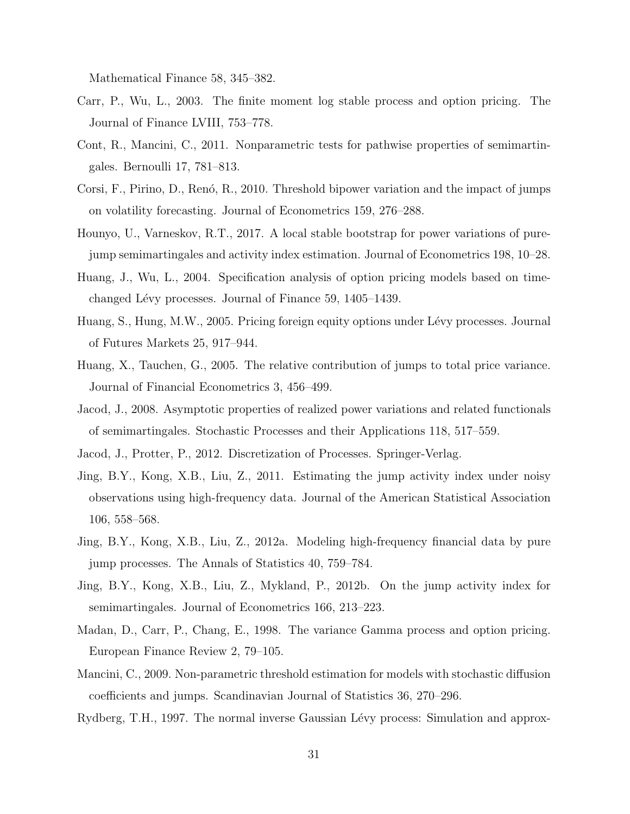Mathematical Finance 58, 345–382.

- Carr, P., Wu, L., 2003. The finite moment log stable process and option pricing. The Journal of Finance LVIII, 753–778.
- Cont, R., Mancini, C., 2011. Nonparametric tests for pathwise properties of semimartingales. Bernoulli 17, 781–813.
- Corsi, F., Pirino, D., Renó, R., 2010. Threshold bipower variation and the impact of jumps on volatility forecasting. Journal of Econometrics 159, 276–288.
- Hounyo, U., Varneskov, R.T., 2017. A local stable bootstrap for power variations of purejump semimartingales and activity index estimation. Journal of Econometrics 198, 10–28.
- Huang, J., Wu, L., 2004. Specification analysis of option pricing models based on timechanged Lévy processes. Journal of Finance 59, 1405–1439.
- Huang, S., Hung, M.W., 2005. Pricing foreign equity options under Lévy processes. Journal of Futures Markets 25, 917–944.
- Huang, X., Tauchen, G., 2005. The relative contribution of jumps to total price variance. Journal of Financial Econometrics 3, 456–499.
- Jacod, J., 2008. Asymptotic properties of realized power variations and related functionals of semimartingales. Stochastic Processes and their Applications 118, 517–559.
- Jacod, J., Protter, P., 2012. Discretization of Processes. Springer-Verlag.
- Jing, B.Y., Kong, X.B., Liu, Z., 2011. Estimating the jump activity index under noisy observations using high-frequency data. Journal of the American Statistical Association 106, 558–568.
- Jing, B.Y., Kong, X.B., Liu, Z., 2012a. Modeling high-frequency financial data by pure jump processes. The Annals of Statistics 40, 759–784.
- Jing, B.Y., Kong, X.B., Liu, Z., Mykland, P., 2012b. On the jump activity index for semimartingales. Journal of Econometrics 166, 213–223.
- Madan, D., Carr, P., Chang, E., 1998. The variance Gamma process and option pricing. European Finance Review 2, 79–105.
- Mancini, C., 2009. Non-parametric threshold estimation for models with stochastic diffusion coefficients and jumps. Scandinavian Journal of Statistics 36, 270–296.
- Rydberg, T.H., 1997. The normal inverse Gaussian Lévy process: Simulation and approx-